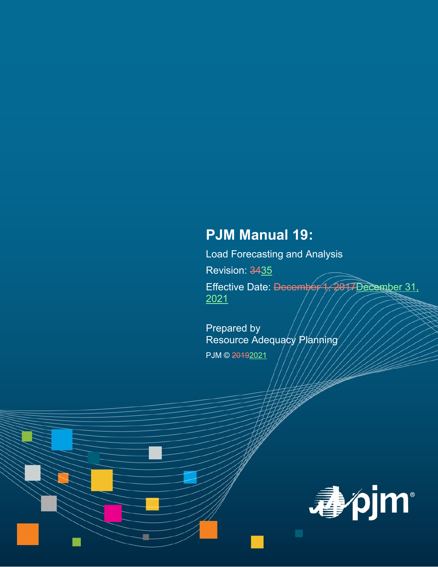# **PJM Manual 19:**

Load Forecasting and Analysis

Revision: 3435

Effective Date: December 1, 2017 December 31, 2021

Prepared by Resource Adequacy Planning PJM © 20192021

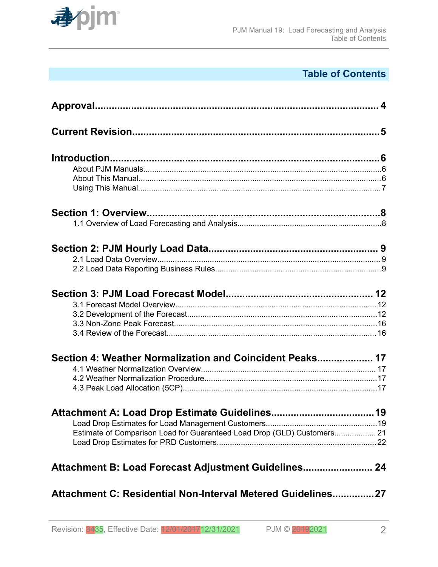

## **Table of Contents**

| Section 4: Weather Normalization and Coincident Peaks 17                |  |
|-------------------------------------------------------------------------|--|
|                                                                         |  |
|                                                                         |  |
|                                                                         |  |
|                                                                         |  |
|                                                                         |  |
| Estimate of Comparison Load for Guaranteed Load Drop (GLD) Customers 21 |  |
|                                                                         |  |
|                                                                         |  |
| Attachment C: Residential Non-Interval Metered Guidelines27             |  |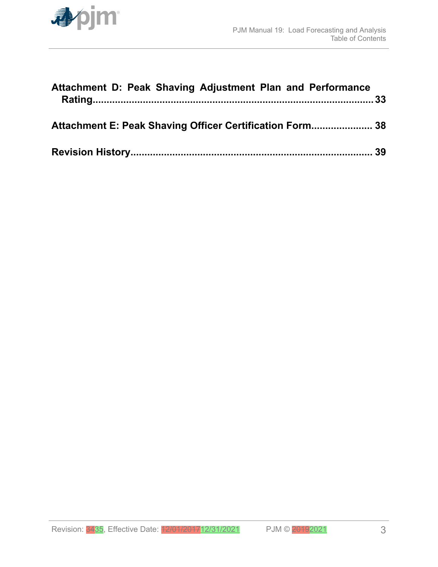

| Attachment D: Peak Shaving Adjustment Plan and Performance |  |
|------------------------------------------------------------|--|
| Attachment E: Peak Shaving Officer Certification Form 38   |  |
|                                                            |  |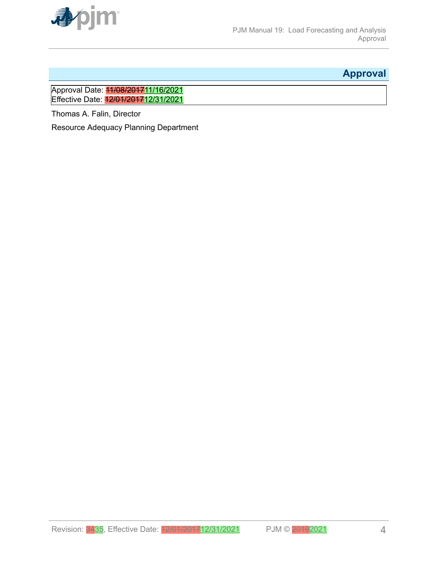<span id="page-3-0"></span>

## **Approval**

Approval Date: <mark>11/08/2017</mark>11/16/2021 Effective Date: 12/01/2017 12/31/2021

Thomas A. Falin, Director

Resource Adequacy Planning Department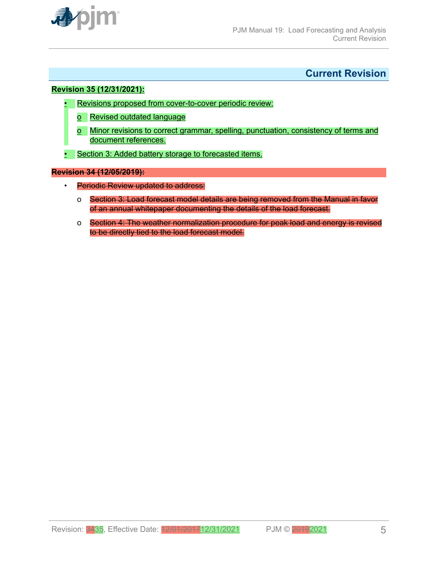<span id="page-4-0"></span>

## **Current Revision**

#### **Revision 35 (12/31/2021):**

- Revisions proposed from cover-to-cover periodic review:
	- o Revised outdated language
	- o Minor revisions to correct grammar, spelling, punctuation, consistency of terms and document references.
- Section 3: Added battery storage to forecasted items.

#### **Revision 34 (12/05/2019):**

- Periodic Review updated to address:
	- o Section 3: Load forecast model details are being removed from the Manual in favor of an annual whitepaper documenting the details of the load forecast.
	- o Section 4: The weather normalization procedure for peak load and energy is revised to be directly tied to the load forecast model.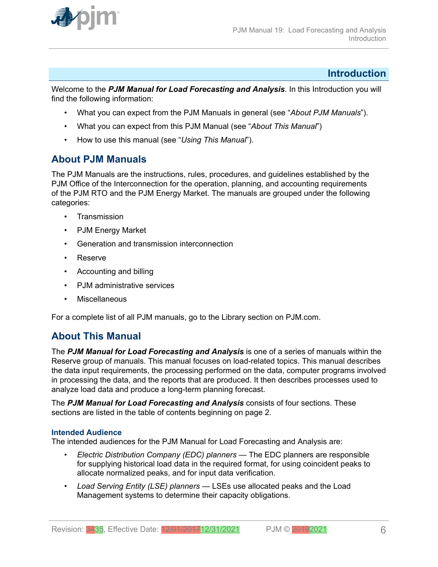<span id="page-5-0"></span>

## **Introduction**

Welcome to the *PJM Manual for Load Forecasting and Analysis*. In this Introduction you will find the following information:

- What you can expect from the PJM Manuals in general (see "*About PJM Manuals*").
- What you can expect from this PJM Manual (see "*About This Manual*")
- How to use this manual (see "*Using This Manual*").

## **About PJM Manuals**

The PJM Manuals are the instructions, rules, procedures, and guidelines established by the PJM Office of the Interconnection for the operation, planning, and accounting requirements of the PJM RTO and the PJM Energy Market. The manuals are grouped under the following categories:

- **Transmission**
- PJM Energy Market
- Generation and transmission interconnection
- Reserve
- Accounting and billing
- PJM administrative services
- **Miscellaneous**

For a complete list of all PJM manuals, go to the Library section on PJM.com.

## **About This Manual**

The *PJM Manual for Load Forecasting and Analysis* is one of a series of manuals within the Reserve group of manuals. This manual focuses on load-related topics. This manual describes the data input requirements, the processing performed on the data, computer programs involved in processing the data, and the reports that are produced. It then describes processes used to analyze load data and produce a long-term planning forecast.

The *PJM Manual for Load Forecasting and Analysis* consists of four sections. These sections are listed in the table of contents beginning on page 2.

## **Intended Audience**

The intended audiences for the PJM Manual for Load Forecasting and Analysis are:

- *Electric Distribution Company (EDC) planners* The EDC planners are responsible for supplying historical load data in the required format, for using coincident peaks to allocate normalized peaks, and for input data verification.
- *Load Serving Entity (LSE) planners*  LSEs use allocated peaks and the Load Management systems to determine their capacity obligations.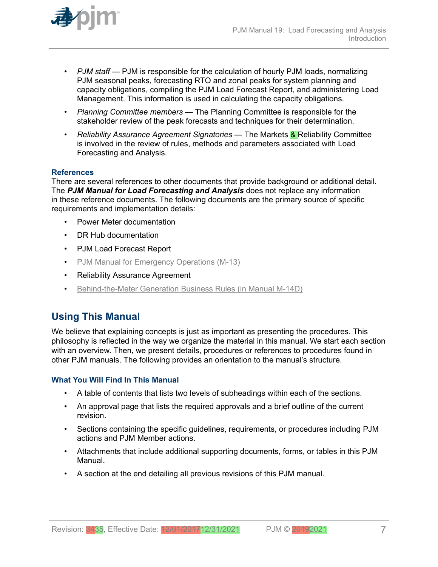<span id="page-6-0"></span>

- *PJM staff* PJM is responsible for the calculation of hourly PJM loads, normalizing PJM seasonal peaks, forecasting RTO and zonal peaks for system planning and capacity obligations, compiling the PJM Load Forecast Report, and administering Load Management. This information is used in calculating the capacity obligations.
- *Planning Committee members* The Planning Committee is responsible for the stakeholder review of the peak forecasts and techniques for their determination.
- *Reliability Assurance Agreement Signatories* The Markets & Reliability Committee is involved in the review of rules, methods and parameters associated with Load Forecasting and Analysis.

## **References**

There are several references to other documents that provide background or additional detail. The *PJM Manual for Load Forecasting and Analysis* does not replace any information in these reference documents. The following documents are the primary source of specific requirements and implementation details:

- Power Meter documentation
- DR Hub documentation
- PJM Load Forecast Report
- [PJM Manual for Emergency Operations \(M-13\)](http://pjm.com/~/media/documents/manuals/m13.ashx)
- Reliability Assurance Agreement
- [Behind-the-Meter Generation Business Rules \(in Manual M-14D\)](http://pjm.com/~/media/documents/manuals/m14d.ashx)

## **Using This Manual**

We believe that explaining concepts is just as important as presenting the procedures. This philosophy is reflected in the way we organize the material in this manual. We start each section with an overview. Then, we present details, procedures or references to procedures found in other PJM manuals. The following provides an orientation to the manual's structure.

### **What You Will Find In This Manual**

- A table of contents that lists two levels of subheadings within each of the sections.
- An approval page that lists the required approvals and a brief outline of the current revision.
- Sections containing the specific guidelines, requirements, or procedures including PJM actions and PJM Member actions.
- Attachments that include additional supporting documents, forms, or tables in this PJM Manual.
- A section at the end detailing all previous revisions of this PJM manual.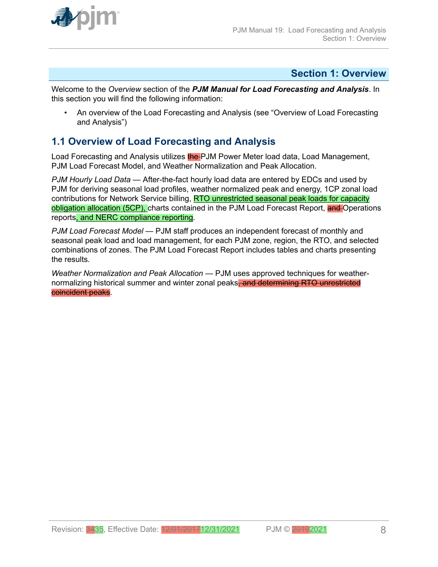<span id="page-7-0"></span>

## **Section 1: Overview**

Welcome to the *Overview* section of the *PJM Manual for Load Forecasting and Analysis*. In this section you will find the following information:

• An overview of the Load Forecasting and Analysis (see "Overview of Load Forecasting and Analysis")

## **1.1 Overview of Load Forecasting and Analysis**

Load Forecasting and Analysis utilizes the PJM Power Meter load data, Load Management, PJM Load Forecast Model, and Weather Normalization and Peak Allocation.

*PJM Hourly Load Data* — After-the-fact hourly load data are entered by EDCs and used by PJM for deriving seasonal load profiles, weather normalized peak and energy, 1CP zonal load contributions for Network Service billing, RTO unrestricted seasonal peak loads for capacity obligation allocation (5CP), charts contained in the PJM Load Forecast Report, and Operations reports, and NERC compliance reporting*.*

*PJM Load Forecast Model* — PJM staff produces an independent forecast of monthly and seasonal peak load and load management, for each PJM zone, region, the RTO, and selected combinations of zones. The PJM Load Forecast Report includes tables and charts presenting the results*.*

*Weather Normalization and Peak Allocation* — PJM uses approved techniques for weathernormalizing historical summer and winter zonal peaks, and determining RTO unrestricted coincident peaks.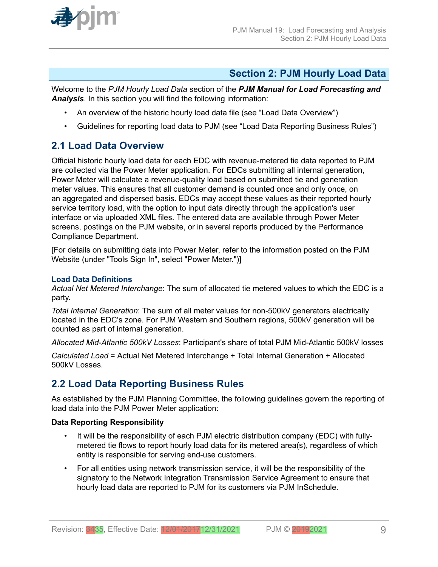<span id="page-8-0"></span>

## **Section 2: PJM Hourly Load Data**

Welcome to the *PJM Hourly Load Data* section of the *PJM Manual for Load Forecasting and Analysis*. In this section you will find the following information:

- An overview of the historic hourly load data file (see "Load Data Overview")
- Guidelines for reporting load data to PJM (see "Load Data Reporting Business Rules")

## **2.1 Load Data Overview**

Official historic hourly load data for each EDC with revenue-metered tie data reported to PJM are collected via the Power Meter application. For EDCs submitting all internal generation, Power Meter will calculate a revenue-quality load based on submitted tie and generation meter values. This ensures that all customer demand is counted once and only once, on an aggregated and dispersed basis. EDCs may accept these values as their reported hourly service territory load, with the option to input data directly through the application's user interface or via uploaded XML files. The entered data are available through Power Meter screens, postings on the PJM website, or in several reports produced by the Performance Compliance Department.

[For details on submitting data into Power Meter, refer to the information posted on the PJM Website (under "Tools Sign In", select "Power Meter.")]

## **Load Data Definitions**

*Actual Net Metered Interchange*: The sum of allocated tie metered values to which the EDC is a party.

*Total Internal Generation*: The sum of all meter values for non-500kV generators electrically located in the EDC's zone. For PJM Western and Southern regions, 500kV generation will be counted as part of internal generation.

*Allocated Mid-Atlantic 500kV Losses*: Participant's share of total PJM Mid-Atlantic 500kV losses

*Calculated Load* = Actual Net Metered Interchange + Total Internal Generation + Allocated 500kV Losses.

## **2.2 Load Data Reporting Business Rules**

As established by the PJM Planning Committee, the following guidelines govern the reporting of load data into the PJM Power Meter application:

## **Data Reporting Responsibility**

- It will be the responsibility of each PJM electric distribution company (EDC) with fullymetered tie flows to report hourly load data for its metered area(s), regardless of which entity is responsible for serving end-use customers.
- For all entities using network transmission service, it will be the responsibility of the signatory to the Network Integration Transmission Service Agreement to ensure that hourly load data are reported to PJM for its customers via PJM InSchedule.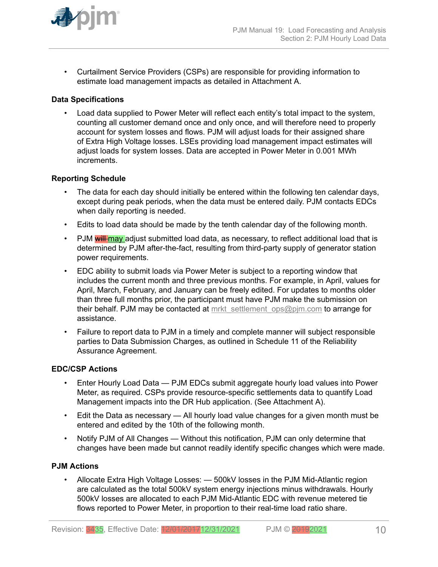

• Curtailment Service Providers (CSPs) are responsible for providing information to estimate load management impacts as detailed in Attachment A.

## **Data Specifications**

• Load data supplied to Power Meter will reflect each entity's total impact to the system, counting all customer demand once and only once, and will therefore need to properly account for system losses and flows. PJM will adjust loads for their assigned share of Extra High Voltage losses. LSEs providing load management impact estimates will adjust loads for system losses. Data are accepted in Power Meter in 0.001 MWh increments.

### **Reporting Schedule**

- The data for each day should initially be entered within the following ten calendar days, except during peak periods, when the data must be entered daily. PJM contacts EDCs when daily reporting is needed.
- Edits to load data should be made by the tenth calendar day of the following month.
- PJM will may adjust submitted load data, as necessary, to reflect additional load that is determined by PJM after-the-fact, resulting from third-party supply of generator station power requirements.
- EDC ability to submit loads via Power Meter is subject to a reporting window that includes the current month and three previous months. For example, in April, values for April, March, February, and January can be freely edited. For updates to months older than three full months prior, the participant must have PJM make the submission on their behalf. PJM may be contacted at [mrkt\\_settlement\\_ops@pjm.com](mailto:mrkt_settlement_ops@pjm.com) to arrange for assistance.
- Failure to report data to PJM in a timely and complete manner will subject responsible parties to Data Submission Charges, as outlined in Schedule 11 of the Reliability Assurance Agreement.

### **EDC/CSP Actions**

- Enter Hourly Load Data PJM EDCs submit aggregate hourly load values into Power Meter, as required. CSPs provide resource-specific settlements data to quantify Load Management impacts into the DR Hub application. (See Attachment A).
- Edit the Data as necessary All hourly load value changes for a given month must be entered and edited by the 10th of the following month.
- Notify PJM of All Changes Without this notification, PJM can only determine that changes have been made but cannot readily identify specific changes which were made.

## **PJM Actions**

• Allocate Extra High Voltage Losses: — 500kV losses in the PJM Mid-Atlantic region are calculated as the total 500kV system energy injections minus withdrawals. Hourly 500kV losses are allocated to each PJM Mid-Atlantic EDC with revenue metered tie flows reported to Power Meter, in proportion to their real-time load ratio share.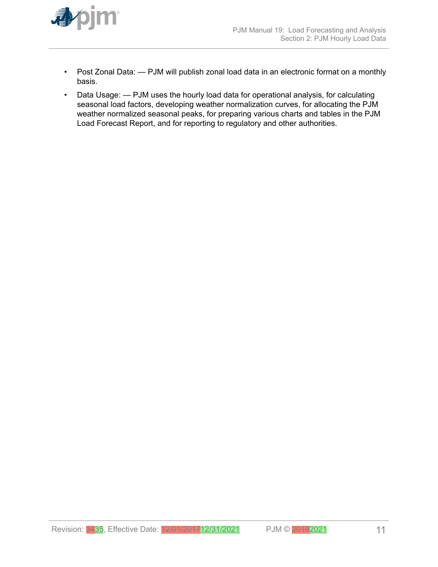

- Post Zonal Data: PJM will publish zonal load data in an electronic format on a monthly basis.
- Data Usage: PJM uses the hourly load data for operational analysis, for calculating seasonal load factors, developing weather normalization curves, for allocating the PJM weather normalized seasonal peaks, for preparing various charts and tables in the PJM Load Forecast Report, and for reporting to regulatory and other authorities.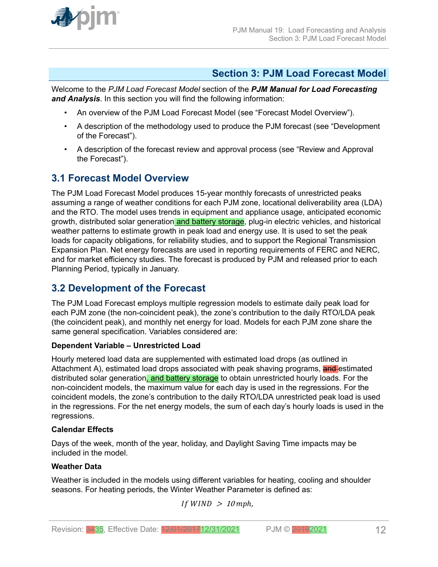<span id="page-11-0"></span>

## **Section 3: PJM Load Forecast Model**

Welcome to the *PJM Load Forecast Model* section of the *PJM Manual for Load Forecasting and Analysis*. In this section you will find the following information:

- An overview of the PJM Load Forecast Model (see "Forecast Model Overview").
- A description of the methodology used to produce the PJM forecast (see "Development of the Forecast").
- A description of the forecast review and approval process (see "Review and Approval the Forecast").

## **3.1 Forecast Model Overview**

The PJM Load Forecast Model produces 15-year monthly forecasts of unrestricted peaks assuming a range of weather conditions for each PJM zone, locational deliverability area (LDA) and the RTO. The model uses trends in equipment and appliance usage, anticipated economic growth, distributed solar generation and battery storage, plug-in electric vehicles, and historical weather patterns to estimate growth in peak load and energy use. It is used to set the peak loads for capacity obligations, for reliability studies, and to support the Regional Transmission Expansion Plan. Net energy forecasts are used in reporting requirements of FERC and NERC, and for market efficiency studies. The forecast is produced by PJM and released prior to each Planning Period, typically in January.

## **3.2 Development of the Forecast**

The PJM Load Forecast employs multiple regression models to estimate daily peak load for each PJM zone (the non-coincident peak), the zone's contribution to the daily RTO/LDA peak (the coincident peak), and monthly net energy for load. Models for each PJM zone share the same general specification. Variables considered are:

## **Dependent Variable – Unrestricted Load**

Hourly metered load data are supplemented with estimated load drops (as outlined in Attachment A), estimated load drops associated with peak shaving programs, and estimated distributed solar generation, and battery storage to obtain unrestricted hourly loads. For the non-coincident models, the maximum value for each day is used in the regressions. For the coincident models, the zone's contribution to the daily RTO/LDA unrestricted peak load is used in the regressions. For the net energy models, the sum of each day's hourly loads is used in the regressions.

## **Calendar Effects**

Days of the week, month of the year, holiday, and Daylight Saving Time impacts may be included in the model.

## **Weather Data**

Weather is included in the models using different variables for heating, cooling and shoulder seasons. For heating periods, the Winter Weather Parameter is defined as:

```
If WIND > 10 mph,
```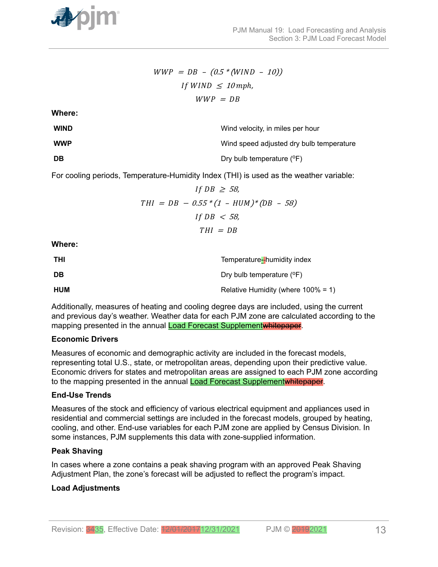

$$
WWP = DB - (0.5 * (WIND - 10))
$$
  
If WIND  $\leq 10$  mph,  

$$
WWP = DB
$$

**Where:**

| <b>WIND</b> | Wind velocity, in miles per hour         |
|-------------|------------------------------------------|
| <b>WWP</b>  | Wind speed adjusted dry bulb temperature |
| <b>DB</b>   | Dry bulb temperature $(°F)$              |

For cooling periods, Temperature-Humidity Index (THI) is used as the weather variable:

$$
If DB \ge 58,
$$
  
\n
$$
THI = DB - 0.55 * (1 - HUM) * (DB - 58)
$$
  
\n
$$
If DB < 58,
$$
  
\n
$$
THI = DB
$$

**Where:**

| THI | Temperature-humidity index             |
|-----|----------------------------------------|
| DB  | Dry bulb temperature $(^{\circ}F)$     |
| HUM | Relative Humidity (where $100\% = 1$ ) |

Additionally, measures of heating and cooling degree days are included, using the current and previous day's weather. Weather data for each PJM zone are calculated according to the mapping presented in the annual Load Forecast Supplementwhitepaper.

## **Economic Drivers**

Measures of economic and demographic activity are included in the forecast models, representing total U.S., state, or metropolitan areas, depending upon their predictive value. Economic drivers for states and metropolitan areas are assigned to each PJM zone according to the mapping presented in the annual **Load Forecast Supplementwhitepaper**.

## **End-Use Trends**

Measures of the stock and efficiency of various electrical equipment and appliances used in residential and commercial settings are included in the forecast models, grouped by heating, cooling, and other. End-use variables for each PJM zone are applied by Census Division. In some instances, PJM supplements this data with zone-supplied information.

## **Peak Shaving**

In cases where a zone contains a peak shaving program with an approved Peak Shaving Adjustment Plan, the zone's forecast will be adjusted to reflect the program's impact.

## **Load Adjustments**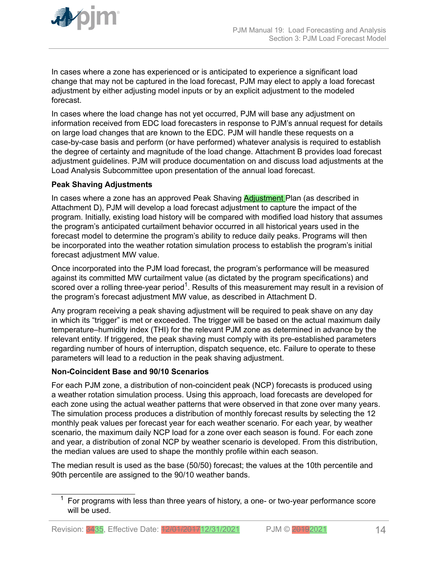

In cases where a zone has experienced or is anticipated to experience a significant load change that may not be captured in the load forecast, PJM may elect to apply a load forecast adjustment by either adjusting model inputs or by an explicit adjustment to the modeled forecast.

In cases where the load change has not yet occurred, PJM will base any adjustment on information received from EDC load forecasters in response to PJM's annual request for details on large load changes that are known to the EDC. PJM will handle these requests on a case-by-case basis and perform (or have performed) whatever analysis is required to establish the degree of certainty and magnitude of the load change. Attachment B provides load forecast adjustment guidelines. PJM will produce documentation on and discuss load adjustments at the Load Analysis Subcommittee upon presentation of the annual load forecast.

## **Peak Shaving Adjustments**

In cases where a zone has an approved Peak Shaving **Adjustment** Plan (as described in Attachment D), PJM will develop a load forecast adjustment to capture the impact of the program. Initially, existing load history will be compared with modified load history that assumes the program's anticipated curtailment behavior occurred in all historical years used in the forecast model to determine the program's ability to reduce daily peaks. Programs will then be incorporated into the weather rotation simulation process to establish the program's initial forecast adjustment MW value.

Once incorporated into the PJM load forecast, the program's performance will be measured against its committed MW curtailment value (as dictated by the program specifications) and scored over a rolling three-year period<sup>1</sup>. Results of this measurement may result in a revision of the program's forecast adjustment MW value, as described in Attachment D.

Any program receiving a peak shaving adjustment will be required to peak shave on any day in which its "trigger" is met or exceeded. The trigger will be based on the actual maximum daily temperature–humidity index (THI) for the relevant PJM zone as determined in advance by the relevant entity. If triggered, the peak shaving must comply with its pre-established parameters regarding number of hours of interruption, dispatch sequence, etc. Failure to operate to these parameters will lead to a reduction in the peak shaving adjustment.

## **Non-Coincident Base and 90/10 Scenarios**

For each PJM zone, a distribution of non-coincident peak (NCP) forecasts is produced using a weather rotation simulation process. Using this approach, load forecasts are developed for each zone using the actual weather patterns that were observed in that zone over many years. The simulation process produces a distribution of monthly forecast results by selecting the 12 monthly peak values per forecast year for each weather scenario. For each year, by weather scenario, the maximum daily NCP load for a zone over each season is found. For each zone and year, a distribution of zonal NCP by weather scenario is developed. From this distribution, the median values are used to shape the monthly profile within each season.

The median result is used as the base (50/50) forecast; the values at the 10th percentile and 90th percentile are assigned to the 90/10 weather bands.

 $1$  For programs with less than three years of history, a one- or two-year performance score will be used.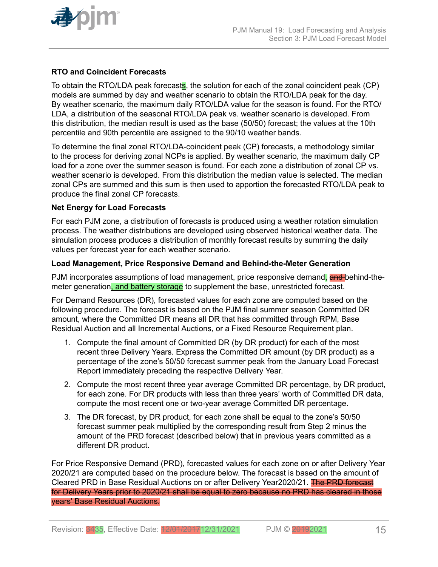

## **RTO and Coincident Forecasts**

To obtain the RTO/LDA peak forecasts, the solution for each of the zonal coincident peak (CP) models are summed by day and weather scenario to obtain the RTO/LDA peak for the day. By weather scenario, the maximum daily RTO/LDA value for the season is found. For the RTO/ LDA, a distribution of the seasonal RTO/LDA peak vs. weather scenario is developed. From this distribution, the median result is used as the base (50/50) forecast; the values at the 10th percentile and 90th percentile are assigned to the 90/10 weather bands.

To determine the final zonal RTO/LDA-coincident peak (CP) forecasts, a methodology similar to the process for deriving zonal NCPs is applied. By weather scenario, the maximum daily CP load for a zone over the summer season is found. For each zone a distribution of zonal CP vs. weather scenario is developed. From this distribution the median value is selected. The median zonal CPs are summed and this sum is then used to apportion the forecasted RTO/LDA peak to produce the final zonal CP forecasts.

## **Net Energy for Load Forecasts**

For each PJM zone, a distribution of forecasts is produced using a weather rotation simulation process. The weather distributions are developed using observed historical weather data. The simulation process produces a distribution of monthly forecast results by summing the daily values per forecast year for each weather scenario.

## **Load Management, Price Responsive Demand and Behind-the-Meter Generation**

PJM incorporates assumptions of load management, price responsive demand, and behind-themeter generation, and battery storage to supplement the base, unrestricted forecast.

For Demand Resources (DR), forecasted values for each zone are computed based on the following procedure. The forecast is based on the PJM final summer season Committed DR amount, where the Committed DR means all DR that has committed through RPM, Base Residual Auction and all Incremental Auctions, or a Fixed Resource Requirement plan.

- 1. Compute the final amount of Committed DR (by DR product) for each of the most recent three Delivery Years. Express the Committed DR amount (by DR product) as a percentage of the zone's 50/50 forecast summer peak from the January Load Forecast Report immediately preceding the respective Delivery Year.
- 2. Compute the most recent three year average Committed DR percentage, by DR product, for each zone. For DR products with less than three years' worth of Committed DR data, compute the most recent one or two-year average Committed DR percentage.
- 3. The DR forecast, by DR product, for each zone shall be equal to the zone's 50/50 forecast summer peak multiplied by the corresponding result from Step 2 minus the amount of the PRD forecast (described below) that in previous years committed as a different DR product.

For Price Responsive Demand (PRD), forecasted values for each zone on or after Delivery Year 2020/21 are computed based on the procedure below. The forecast is based on the amount of Cleared PRD in Base Residual Auctions on or after Delivery Year2020/21. The PRD forecast for Delivery Years prior to 2020/21 shall be equal to zero because no PRD has cleared in those years' Base Residual Auctions.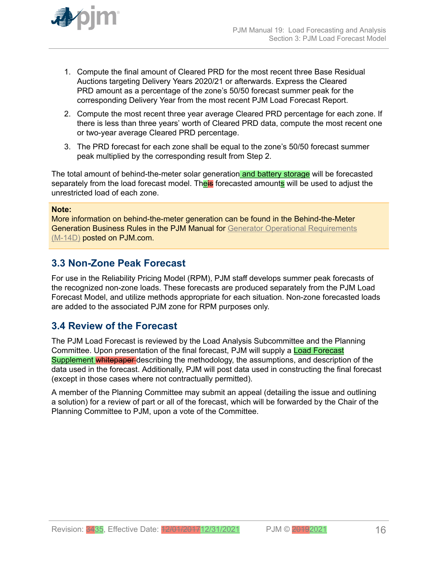<span id="page-15-0"></span>

- 1. Compute the final amount of Cleared PRD for the most recent three Base Residual Auctions targeting Delivery Years 2020/21 or afterwards. Express the Cleared PRD amount as a percentage of the zone's 50/50 forecast summer peak for the corresponding Delivery Year from the most recent PJM Load Forecast Report.
- 2. Compute the most recent three year average Cleared PRD percentage for each zone. If there is less than three years' worth of Cleared PRD data, compute the most recent one or two-year average Cleared PRD percentage.
- 3. The PRD forecast for each zone shall be equal to the zone's 50/50 forecast summer peak multiplied by the corresponding result from Step 2.

The total amount of behind-the-meter solar generation and battery storage will be forecasted separately from the load forecast model. Theis forecasted amounts will be used to adjust the unrestricted load of each zone.

## **Note:**

More information on behind-the-meter generation can be found in the Behind-the-Meter Generation Business Rules in the PJM Manual for [Generator Operational Requirements](http://www.pjm.com/~/media/documents/manuals/m14d.ashx) [\(M-14D\)](http://www.pjm.com/~/media/documents/manuals/m14d.ashx) posted on PJM.com.

## **3.3 Non-Zone Peak Forecast**

For use in the Reliability Pricing Model (RPM), PJM staff develops summer peak forecasts of the recognized non-zone loads. These forecasts are produced separately from the PJM Load Forecast Model, and utilize methods appropriate for each situation. Non-zone forecasted loads are added to the associated PJM zone for RPM purposes only.

## **3.4 Review of the Forecast**

The PJM Load Forecast is reviewed by the Load Analysis Subcommittee and the Planning Committee. Upon presentation of the final forecast, PJM will supply a Load Forecast Supplement whitepaper describing the methodology, the assumptions, and description of the data used in the forecast. Additionally, PJM will post data used in constructing the final forecast (except in those cases where not contractually permitted).

A member of the Planning Committee may submit an appeal (detailing the issue and outlining a solution) for a review of part or all of the forecast, which will be forwarded by the Chair of the Planning Committee to PJM, upon a vote of the Committee.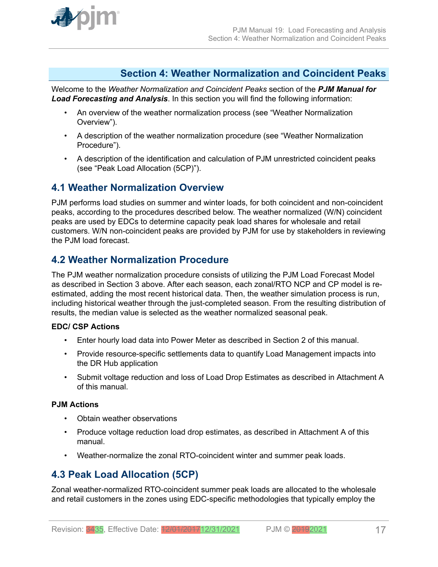<span id="page-16-0"></span>

## **Section 4: Weather Normalization and Coincident Peaks**

Welcome to the *Weather Normalization and Coincident Peaks* section of the *PJM Manual for Load Forecasting and Analysis*. In this section you will find the following information:

- An overview of the weather normalization process (see "Weather Normalization Overview").
- A description of the weather normalization procedure (see "Weather Normalization Procedure").
- A description of the identification and calculation of PJM unrestricted coincident peaks (see "Peak Load Allocation (5CP)").

## **4.1 Weather Normalization Overview**

PJM performs load studies on summer and winter loads, for both coincident and non-coincident peaks, according to the procedures described below. The weather normalized (W/N) coincident peaks are used by EDCs to determine capacity peak load shares for wholesale and retail customers. W/N non-coincident peaks are provided by PJM for use by stakeholders in reviewing the PJM load forecast.

## **4.2 Weather Normalization Procedure**

The PJM weather normalization procedure consists of utilizing the PJM Load Forecast Model as described in Section 3 above. After each season, each zonal/RTO NCP and CP model is reestimated, adding the most recent historical data. Then, the weather simulation process is run, including historical weather through the just-completed season. From the resulting distribution of results, the median value is selected as the weather normalized seasonal peak.

## **EDC/ CSP Actions**

- Enter hourly load data into Power Meter as described in Section 2 of this manual.
- Provide resource-specific settlements data to quantify Load Management impacts into the DR Hub application
- Submit voltage reduction and loss of Load Drop Estimates as described in Attachment A of this manual.

## **PJM Actions**

- Obtain weather observations
- Produce voltage reduction load drop estimates, as described in Attachment A of this manual.
- Weather-normalize the zonal RTO-coincident winter and summer peak loads.

## **4.3 Peak Load Allocation (5CP)**

Zonal weather-normalized RTO-coincident summer peak loads are allocated to the wholesale and retail customers in the zones using EDC-specific methodologies that typically employ the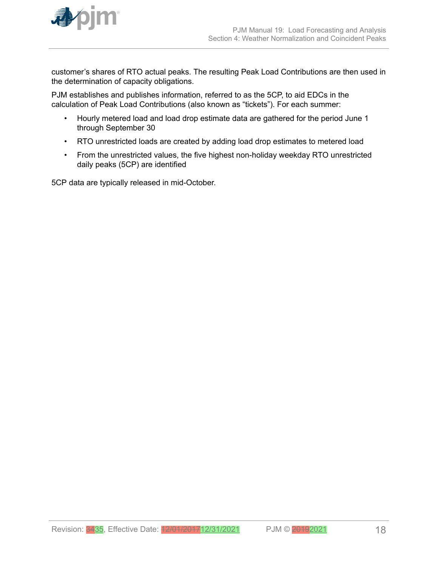

customer's shares of RTO actual peaks. The resulting Peak Load Contributions are then used in the determination of capacity obligations.

PJM establishes and publishes information, referred to as the 5CP, to aid EDCs in the calculation of Peak Load Contributions (also known as "tickets"). For each summer:

- Hourly metered load and load drop estimate data are gathered for the period June 1 through September 30
- RTO unrestricted loads are created by adding load drop estimates to metered load
- From the unrestricted values, the five highest non-holiday weekday RTO unrestricted daily peaks (5CP) are identified

5CP data are typically released in mid-October.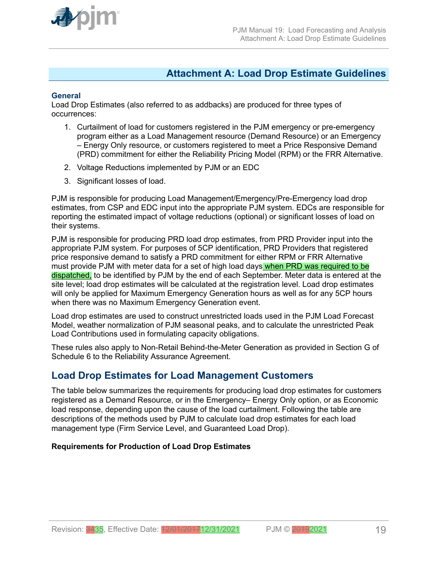<span id="page-18-0"></span>

## **Attachment A: Load Drop Estimate Guidelines**

## **General**

Load Drop Estimates (also referred to as addbacks) are produced for three types of occurrences:

- 1. Curtailment of load for customers registered in the PJM emergency or pre-emergency program either as a Load Management resource (Demand Resource) or an Emergency – Energy Only resource, or customers registered to meet a Price Responsive Demand (PRD) commitment for either the Reliability Pricing Model (RPM) or the FRR Alternative.
- 2. Voltage Reductions implemented by PJM or an EDC
- 3. Significant losses of load.

PJM is responsible for producing Load Management/Emergency/Pre-Emergency load drop estimates, from CSP and EDC input into the appropriate PJM system. EDCs are responsible for reporting the estimated impact of voltage reductions (optional) or significant losses of load on their systems.

PJM is responsible for producing PRD load drop estimates, from PRD Provider input into the appropriate PJM system. For purposes of 5CP identification, PRD Providers that registered price responsive demand to satisfy a PRD commitment for either RPM or FRR Alternative must provide PJM with meter data for a set of high load days when PRD was required to be dispatched, to be identified by PJM by the end of each September. Meter data is entered at the site level; load drop estimates will be calculated at the registration level. Load drop estimates will only be applied for Maximum Emergency Generation hours as well as for any 5CP hours when there was no Maximum Emergency Generation event.

Load drop estimates are used to construct unrestricted loads used in the PJM Load Forecast Model, weather normalization of PJM seasonal peaks, and to calculate the unrestricted Peak Load Contributions used in formulating capacity obligations.

These rules also apply to Non-Retail Behind-the-Meter Generation as provided in Section G of Schedule 6 to the Reliability Assurance Agreement.

## **Load Drop Estimates for Load Management Customers**

The table below summarizes the requirements for producing load drop estimates for customers registered as a Demand Resource, or in the Emergency– Energy Only option, or as Economic load response, depending upon the cause of the load curtailment. Following the table are descriptions of the methods used by PJM to calculate load drop estimates for each load management type (Firm Service Level, and Guaranteed Load Drop).

## **Requirements for Production of Load Drop Estimates**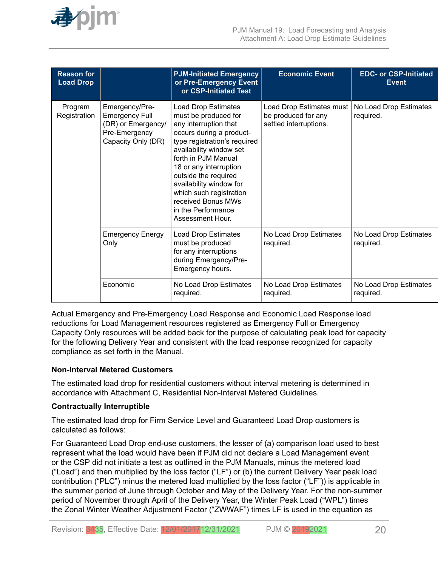

| <b>Reason for</b><br><b>Load Drop</b> |                                                                                                      | <b>PJM-Initiated Emergency</b><br>or Pre-Emergency Event<br>or CSP-Initiated Test                                                                                                                                                                                                                                                                                 | <b>Economic Event</b>                                                     | <b>EDC- or CSP-Initiated</b><br><b>Event</b> |
|---------------------------------------|------------------------------------------------------------------------------------------------------|-------------------------------------------------------------------------------------------------------------------------------------------------------------------------------------------------------------------------------------------------------------------------------------------------------------------------------------------------------------------|---------------------------------------------------------------------------|----------------------------------------------|
| Program<br>Registration               | Emergency/Pre-<br><b>Emergency Full</b><br>(DR) or Emergency/<br>Pre-Emergency<br>Capacity Only (DR) | <b>Load Drop Estimates</b><br>must be produced for<br>any interruption that<br>occurs during a product-<br>type registration's required<br>availability window set<br>forth in PJM Manual<br>18 or any interruption<br>outside the required<br>availability window for<br>which such registration<br>received Bonus MWs<br>in the Performance<br>Assessment Hour. | Load Drop Estimates must<br>be produced for any<br>settled interruptions. | No Load Drop Estimates<br>required.          |
|                                       | <b>Emergency Energy</b><br>Only                                                                      | <b>Load Drop Estimates</b><br>must be produced<br>for any interruptions<br>during Emergency/Pre-<br>Emergency hours.                                                                                                                                                                                                                                              | No Load Drop Estimates<br>required.                                       | No Load Drop Estimates<br>required.          |
|                                       | Economic                                                                                             | No Load Drop Estimates<br>required.                                                                                                                                                                                                                                                                                                                               | No Load Drop Estimates<br>required.                                       | No Load Drop Estimates<br>required.          |

Actual Emergency and Pre-Emergency Load Response and Economic Load Response load reductions for Load Management resources registered as Emergency Full or Emergency Capacity Only resources will be added back for the purpose of calculating peak load for capacity for the following Delivery Year and consistent with the load response recognized for capacity compliance as set forth in the Manual.

## **Non-Interval Metered Customers**

The estimated load drop for residential customers without interval metering is determined in accordance with Attachment C, Residential Non-Interval Metered Guidelines.

### **Contractually Interruptible**

The estimated load drop for Firm Service Level and Guaranteed Load Drop customers is calculated as follows:

For Guaranteed Load Drop end-use customers, the lesser of (a) comparison load used to best represent what the load would have been if PJM did not declare a Load Management event or the CSP did not initiate a test as outlined in the PJM Manuals, minus the metered load ("Load") and then multiplied by the loss factor ("LF") or (b) the current Delivery Year peak load contribution ("PLC") minus the metered load multiplied by the loss factor ("LF")) is applicable in the summer period of June through October and May of the Delivery Year. For the non-summer period of November through April of the Delivery Year, the Winter Peak Load ("WPL") times the Zonal Winter Weather Adjustment Factor ("ZWWAF") times LF is used in the equation as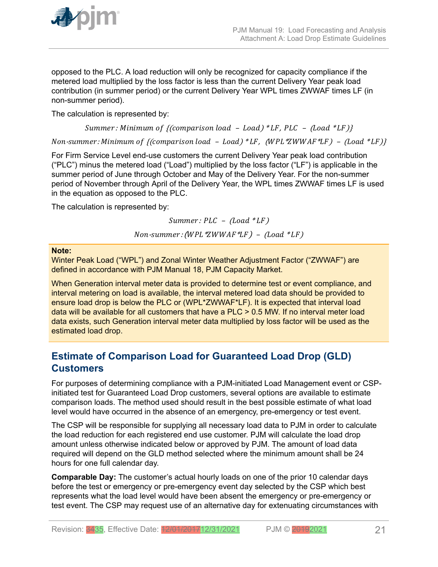<span id="page-20-0"></span>

opposed to the PLC. A load reduction will only be recognized for capacity compliance if the metered load multiplied by the loss factor is less than the current Delivery Year peak load contribution (in summer period) or the current Delivery Year WPL times ZWWAF times LF (in non-summer period).

The calculation is represented by:

Summer: Minimum of {(comparison load - Load) \*LF, PLC -  $($ Load \*LF)}

Non-summer: Minimum of {(comparison load - Load) \*LF, (WPL \*ZWWAF \*LF) - (Load \*LF)}

For Firm Service Level end-use customers the current Delivery Year peak load contribution ("PLC") minus the metered load ("Load") multiplied by the loss factor ("LF") is applicable in the summer period of June through October and May of the Delivery Year. For the non-summer period of November through April of the Delivery Year, the WPL times ZWWAF times LF is used in the equation as opposed to the PLC.

The calculation is represented by:

 $Summer: PLC - (Load * LF)$ 

 $Non-summer: (WPL*ZWWAF*LF) - Load*LF)$ 

## **Note:**

Winter Peak Load ("WPL") and Zonal Winter Weather Adjustment Factor ("ZWWAF") are defined in accordance with PJM Manual 18, PJM Capacity Market.

When Generation interval meter data is provided to determine test or event compliance, and interval metering on load is available, the interval metered load data should be provided to ensure load drop is below the PLC or (WPL\*ZWWAF\*LF). It is expected that interval load data will be available for all customers that have a PLC > 0.5 MW. If no interval meter load data exists, such Generation interval meter data multiplied by loss factor will be used as the estimated load drop.

## **Estimate of Comparison Load for Guaranteed Load Drop (GLD) Customers**

For purposes of determining compliance with a PJM-initiated Load Management event or CSPinitiated test for Guaranteed Load Drop customers, several options are available to estimate comparison loads. The method used should result in the best possible estimate of what load level would have occurred in the absence of an emergency, pre-emergency or test event.

The CSP will be responsible for supplying all necessary load data to PJM in order to calculate the load reduction for each registered end use customer. PJM will calculate the load drop amount unless otherwise indicated below or approved by PJM. The amount of load data required will depend on the GLD method selected where the minimum amount shall be 24 hours for one full calendar day.

**Comparable Day:** The customer's actual hourly loads on one of the prior 10 calendar days before the test or emergency or pre-emergency event day selected by the CSP which best represents what the load level would have been absent the emergency or pre-emergency or test event. The CSP may request use of an alternative day for extenuating circumstances with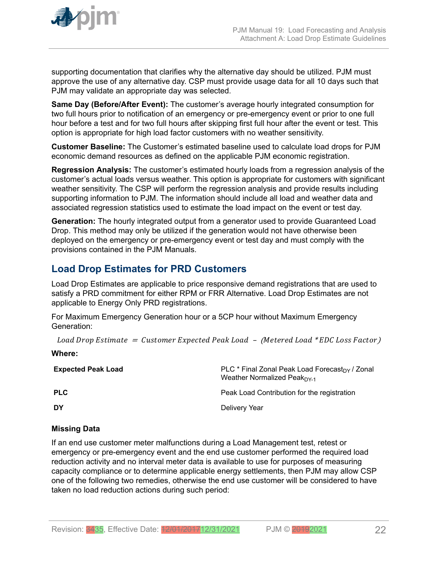<span id="page-21-0"></span>

supporting documentation that clarifies why the alternative day should be utilized. PJM must approve the use of any alternative day. CSP must provide usage data for all 10 days such that PJM may validate an appropriate day was selected.

**Same Day (Before/After Event):** The customer's average hourly integrated consumption for two full hours prior to notification of an emergency or pre-emergency event or prior to one full hour before a test and for two full hours after skipping first full hour after the event or test. This option is appropriate for high load factor customers with no weather sensitivity.

**Customer Baseline:** The Customer's estimated baseline used to calculate load drops for PJM economic demand resources as defined on the applicable PJM economic registration.

**Regression Analysis:** The customer's estimated hourly loads from a regression analysis of the customer's actual loads versus weather. This option is appropriate for customers with significant weather sensitivity. The CSP will perform the regression analysis and provide results including supporting information to PJM. The information should include all load and weather data and associated regression statistics used to estimate the load impact on the event or test day.

**Generation:** The hourly integrated output from a generator used to provide Guaranteed Load Drop. This method may only be utilized if the generation would not have otherwise been deployed on the emergency or pre-emergency event or test day and must comply with the provisions contained in the PJM Manuals.

## **Load Drop Estimates for PRD Customers**

Load Drop Estimates are applicable to price responsive demand registrations that are used to satisfy a PRD commitment for either RPM or FRR Alternative. Load Drop Estimates are not applicable to Energy Only PRD registrations.

For Maximum Emergency Generation hour or a 5CP hour without Maximum Emergency Generation:

Load Drop Estimate  $=$  Customer Expected Peak Load  $-$  (Metered Load \*EDC Loss Factor)

## **Where: Expected Peak Load PLC** \* Final Zonal Peak Load Forecast<sub>DY</sub> / Zonal Weather Normalized Peak $DY-1$ **PLC** PEAK Load Contribution for the registration **DY** Delivery Year

## **Missing Data**

If an end use customer meter malfunctions during a Load Management test, retest or emergency or pre-emergency event and the end use customer performed the required load reduction activity and no interval meter data is available to use for purposes of measuring capacity compliance or to determine applicable energy settlements, then PJM may allow CSP one of the following two remedies, otherwise the end use customer will be considered to have taken no load reduction actions during such period: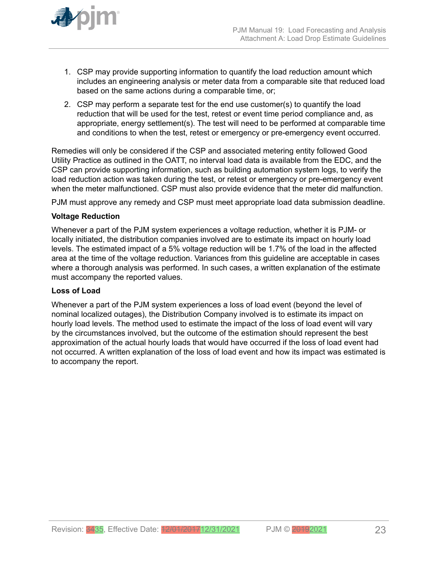

- 1. CSP may provide supporting information to quantify the load reduction amount which includes an engineering analysis or meter data from a comparable site that reduced load based on the same actions during a comparable time, or;
- 2. CSP may perform a separate test for the end use customer(s) to quantify the load reduction that will be used for the test, retest or event time period compliance and, as appropriate, energy settlement(s). The test will need to be performed at comparable time and conditions to when the test, retest or emergency or pre-emergency event occurred.

Remedies will only be considered if the CSP and associated metering entity followed Good Utility Practice as outlined in the OATT, no interval load data is available from the EDC, and the CSP can provide supporting information, such as building automation system logs, to verify the load reduction action was taken during the test, or retest or emergency or pre-emergency event when the meter malfunctioned. CSP must also provide evidence that the meter did malfunction.

PJM must approve any remedy and CSP must meet appropriate load data submission deadline.

## **Voltage Reduction**

Whenever a part of the PJM system experiences a voltage reduction, whether it is PJM- or locally initiated, the distribution companies involved are to estimate its impact on hourly load levels. The estimated impact of a 5% voltage reduction will be 1.7% of the load in the affected area at the time of the voltage reduction. Variances from this guideline are acceptable in cases where a thorough analysis was performed. In such cases, a written explanation of the estimate must accompany the reported values.

## **Loss of Load**

Whenever a part of the PJM system experiences a loss of load event (beyond the level of nominal localized outages), the Distribution Company involved is to estimate its impact on hourly load levels. The method used to estimate the impact of the loss of load event will vary by the circumstances involved, but the outcome of the estimation should represent the best approximation of the actual hourly loads that would have occurred if the loss of load event had not occurred. A written explanation of the loss of load event and how its impact was estimated is to accompany the report.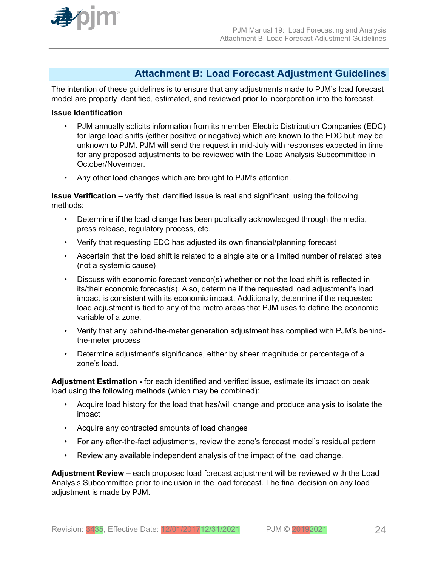<span id="page-23-0"></span>

## **Attachment B: Load Forecast Adjustment Guidelines**

The intention of these guidelines is to ensure that any adjustments made to PJM's load forecast model are properly identified, estimated, and reviewed prior to incorporation into the forecast.

### **Issue Identification**

- PJM annually solicits information from its member Electric Distribution Companies (EDC) for large load shifts (either positive or negative) which are known to the EDC but may be unknown to PJM. PJM will send the request in mid-July with responses expected in time for any proposed adjustments to be reviewed with the Load Analysis Subcommittee in October/November.
- Any other load changes which are brought to PJM's attention.

**Issue Verification –** verify that identified issue is real and significant, using the following methods:

- Determine if the load change has been publically acknowledged through the media, press release, regulatory process, etc.
- Verify that requesting EDC has adjusted its own financial/planning forecast
- Ascertain that the load shift is related to a single site or a limited number of related sites (not a systemic cause)
- Discuss with economic forecast vendor(s) whether or not the load shift is reflected in its/their economic forecast(s). Also, determine if the requested load adjustment's load impact is consistent with its economic impact. Additionally, determine if the requested load adjustment is tied to any of the metro areas that PJM uses to define the economic variable of a zone.
- Verify that any behind-the-meter generation adjustment has complied with PJM's behindthe-meter process
- Determine adjustment's significance, either by sheer magnitude or percentage of a zone's load.

**Adjustment Estimation -** for each identified and verified issue, estimate its impact on peak load using the following methods (which may be combined):

- Acquire load history for the load that has/will change and produce analysis to isolate the impact
- Acquire any contracted amounts of load changes
- For any after-the-fact adjustments, review the zone's forecast model's residual pattern
- Review any available independent analysis of the impact of the load change.

**Adjustment Review –** each proposed load forecast adjustment will be reviewed with the Load Analysis Subcommittee prior to inclusion in the load forecast. The final decision on any load adjustment is made by PJM.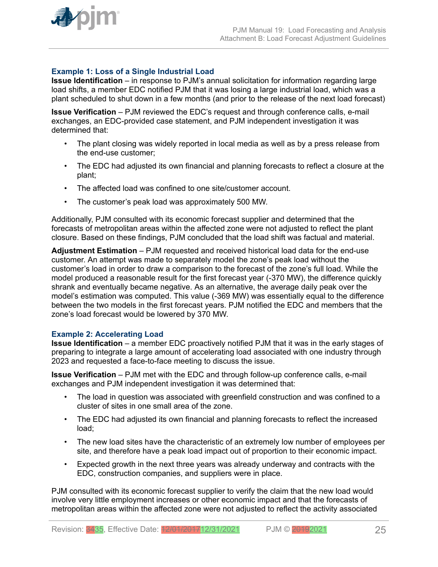

## **Example 1: Loss of a Single Industrial Load**

**Issue Identification** – in response to PJM's annual solicitation for information regarding large load shifts, a member EDC notified PJM that it was losing a large industrial load, which was a plant scheduled to shut down in a few months (and prior to the release of the next load forecast)

**Issue Verification** – PJM reviewed the EDC's request and through conference calls, e-mail exchanges, an EDC-provided case statement, and PJM independent investigation it was determined that:

- The plant closing was widely reported in local media as well as by a press release from the end-use customer;
- The EDC had adjusted its own financial and planning forecasts to reflect a closure at the plant;
- The affected load was confined to one site/customer account.
- The customer's peak load was approximately 500 MW.

Additionally, PJM consulted with its economic forecast supplier and determined that the forecasts of metropolitan areas within the affected zone were not adjusted to reflect the plant closure. Based on these findings, PJM concluded that the load shift was factual and material.

**Adjustment Estimation** – PJM requested and received historical load data for the end-use customer. An attempt was made to separately model the zone's peak load without the customer's load in order to draw a comparison to the forecast of the zone's full load. While the model produced a reasonable result for the first forecast year (-370 MW), the difference quickly shrank and eventually became negative. As an alternative, the average daily peak over the model's estimation was computed. This value (-369 MW) was essentially equal to the difference between the two models in the first forecast years. PJM notified the EDC and members that the zone's load forecast would be lowered by 370 MW.

### **Example 2: Accelerating Load**

**Issue Identification** – a member EDC proactively notified PJM that it was in the early stages of preparing to integrate a large amount of accelerating load associated with one industry through 2023 and requested a face-to-face meeting to discuss the issue.

**Issue Verification** – PJM met with the EDC and through follow-up conference calls, e-mail exchanges and PJM independent investigation it was determined that:

- The load in question was associated with greenfield construction and was confined to a cluster of sites in one small area of the zone.
- The EDC had adjusted its own financial and planning forecasts to reflect the increased load;
- The new load sites have the characteristic of an extremely low number of employees per site, and therefore have a peak load impact out of proportion to their economic impact.
- Expected growth in the next three years was already underway and contracts with the EDC, construction companies, and suppliers were in place.

PJM consulted with its economic forecast supplier to verify the claim that the new load would involve very little employment increases or other economic impact and that the forecasts of metropolitan areas within the affected zone were not adjusted to reflect the activity associated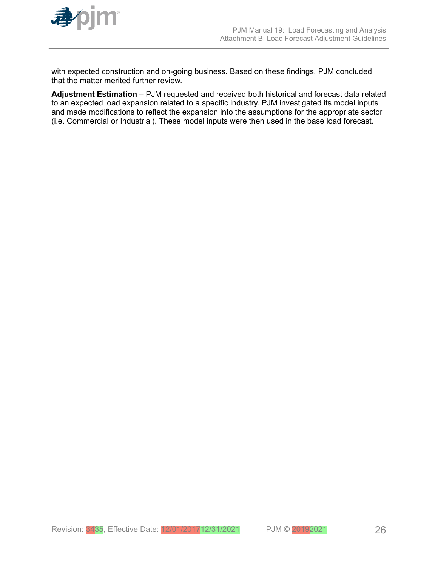

with expected construction and on-going business. Based on these findings, PJM concluded that the matter merited further review.

**Adjustment Estimation** – PJM requested and received both historical and forecast data related to an expected load expansion related to a specific industry. PJM investigated its model inputs and made modifications to reflect the expansion into the assumptions for the appropriate sector (i.e. Commercial or Industrial). These model inputs were then used in the base load forecast.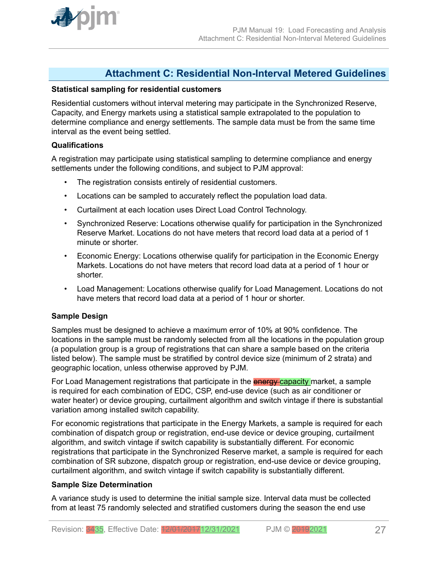<span id="page-26-0"></span>

## **Attachment C: Residential Non-Interval Metered Guidelines**

### **Statistical sampling for residential customers**

Residential customers without interval metering may participate in the Synchronized Reserve, Capacity, and Energy markets using a statistical sample extrapolated to the population to determine compliance and energy settlements. The sample data must be from the same time interval as the event being settled.

## **Qualifications**

A registration may participate using statistical sampling to determine compliance and energy settlements under the following conditions, and subject to PJM approval:

- The registration consists entirely of residential customers.
- Locations can be sampled to accurately reflect the population load data.
- Curtailment at each location uses Direct Load Control Technology.
- Synchronized Reserve: Locations otherwise qualify for participation in the Synchronized Reserve Market. Locations do not have meters that record load data at a period of 1 minute or shorter.
- Economic Energy: Locations otherwise qualify for participation in the Economic Energy Markets. Locations do not have meters that record load data at a period of 1 hour or shorter.
- Load Management: Locations otherwise qualify for Load Management. Locations do not have meters that record load data at a period of 1 hour or shorter.

## **Sample Design**

Samples must be designed to achieve a maximum error of 10% at 90% confidence. The locations in the sample must be randomly selected from all the locations in the population group (a population group is a group of registrations that can share a sample based on the criteria listed below). The sample must be stratified by control device size (minimum of 2 strata) and geographic location, unless otherwise approved by PJM.

For Load Management registrations that participate in the **energy capacity** market, a sample is required for each combination of EDC, CSP, end-use device (such as air conditioner or water heater) or device grouping, curtailment algorithm and switch vintage if there is substantial variation among installed switch capability.

For economic registrations that participate in the Energy Markets, a sample is required for each combination of dispatch group or registration, end-use device or device grouping, curtailment algorithm, and switch vintage if switch capability is substantially different. For economic registrations that participate in the Synchronized Reserve market, a sample is required for each combination of SR subzone, dispatch group or registration, end-use device or device grouping, curtailment algorithm, and switch vintage if switch capability is substantially different.

### **Sample Size Determination**

A variance study is used to determine the initial sample size. Interval data must be collected from at least 75 randomly selected and stratified customers during the season the end use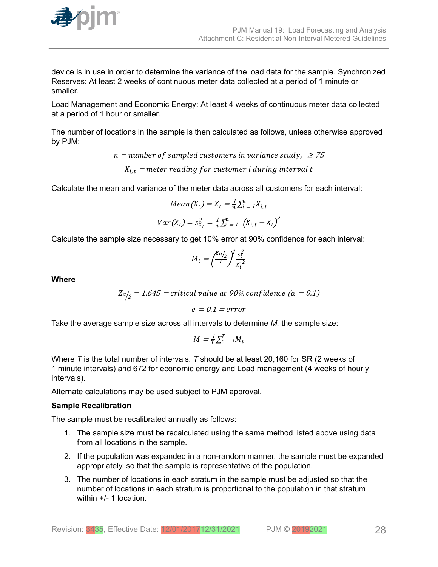

device is in use in order to determine the variance of the load data for the sample. Synchronized Reserves: At least 2 weeks of continuous meter data collected at a period of 1 minute or smaller.

Load Management and Economic Energy: At least 4 weeks of continuous meter data collected at a period of 1 hour or smaller.

The number of locations in the sample is then calculated as follows, unless otherwise approved by PJM:

 $n =$  number of sampled customers in variance study,  $\geq$  75

 $X_{i,t}$  = meter reading for customer i during interval t

Calculate the mean and variance of the meter data across all customers for each interval:

$$
Mean(X_t) = \bar{X}_t = \frac{1}{n} \sum_{i=1}^{n} X_{i,t}
$$

$$
Var(X_t) = s_{\bar{X}_t}^2 = \frac{1}{n} \sum_{i=1}^{n} (X_{i,t} - \bar{X}_t)^2
$$

Calculate the sample size necessary to get 10% error at 90% confidence for each interval:

$$
M_t = \left(\frac{Z\alpha/2}{e}\right)^2 \frac{s_t^2}{x_t^2}
$$

**Where**

 $Z\alpha_{2}^{\prime}=1.645=$  critical value at 90% confidence  $\left( \alpha=0.1\right)$ 

$$
e = 0.1 = error
$$

Take the average sample size across all intervals to determine *M,* the sample size:

$$
M = \frac{1}{T} \sum_{t=1}^{T} M_t
$$

Where *T* is the total number of intervals. *T* should be at least 20,160 for SR (2 weeks of 1 minute intervals) and 672 for economic energy and Load management (4 weeks of hourly intervals).

Alternate calculations may be used subject to PJM approval.

## **Sample Recalibration**

The sample must be recalibrated annually as follows:

- 1. The sample size must be recalculated using the same method listed above using data from all locations in the sample.
- 2. If the population was expanded in a non-random manner, the sample must be expanded appropriately, so that the sample is representative of the population.
- 3. The number of locations in each stratum in the sample must be adjusted so that the number of locations in each stratum is proportional to the population in that stratum within  $+/- 1$  location.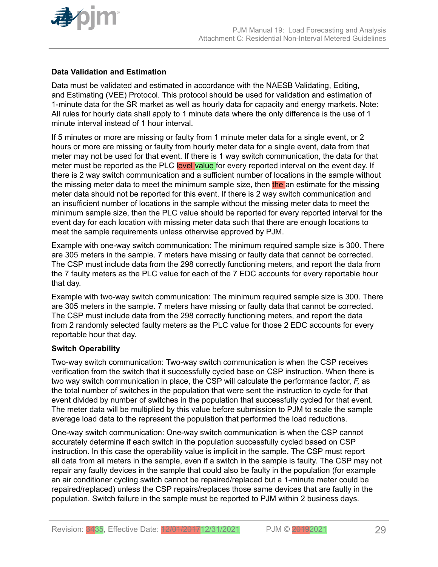

## **Data Validation and Estimation**

Data must be validated and estimated in accordance with the NAESB Validating, Editing, and Estimating (VEE) Protocol. This protocol should be used for validation and estimation of 1-minute data for the SR market as well as hourly data for capacity and energy markets. Note: All rules for hourly data shall apply to 1 minute data where the only difference is the use of 1 minute interval instead of 1 hour interval.

If 5 minutes or more are missing or faulty from 1 minute meter data for a single event, or 2 hours or more are missing or faulty from hourly meter data for a single event, data from that meter may not be used for that event. If there is 1 way switch communication, the data for that meter must be reported as the PLC level value for every reported interval on the event day. If there is 2 way switch communication and a sufficient number of locations in the sample without the missing meter data to meet the minimum sample size, then the an estimate for the missing meter data should not be reported for this event. If there is 2 way switch communication and an insufficient number of locations in the sample without the missing meter data to meet the minimum sample size, then the PLC value should be reported for every reported interval for the event day for each location with missing meter data such that there are enough locations to meet the sample requirements unless otherwise approved by PJM.

Example with one-way switch communication: The minimum required sample size is 300. There are 305 meters in the sample. 7 meters have missing or faulty data that cannot be corrected. The CSP must include data from the 298 correctly functioning meters, and report the data from the 7 faulty meters as the PLC value for each of the 7 EDC accounts for every reportable hour that day.

Example with two-way switch communication: The minimum required sample size is 300. There are 305 meters in the sample. 7 meters have missing or faulty data that cannot be corrected. The CSP must include data from the 298 correctly functioning meters, and report the data from 2 randomly selected faulty meters as the PLC value for those 2 EDC accounts for every reportable hour that day.

## **Switch Operability**

Two-way switch communication: Two-way switch communication is when the CSP receives verification from the switch that it successfully cycled base on CSP instruction. When there is two way switch communication in place, the CSP will calculate the performance factor, *F,* as the total number of switches in the population that were sent the instruction to cycle for that event divided by number of switches in the population that successfully cycled for that event. The meter data will be multiplied by this value before submission to PJM to scale the sample average load data to the represent the population that performed the load reductions.

One-way switch communication: One-way switch communication is when the CSP cannot accurately determine if each switch in the population successfully cycled based on CSP instruction. In this case the operability value is implicit in the sample. The CSP must report all data from all meters in the sample, even if a switch in the sample is faulty. The CSP may not repair any faulty devices in the sample that could also be faulty in the population (for example an air conditioner cycling switch cannot be repaired/replaced but a 1-minute meter could be repaired/replaced) unless the CSP repairs/replaces those same devices that are faulty in the population. Switch failure in the sample must be reported to PJM within 2 business days.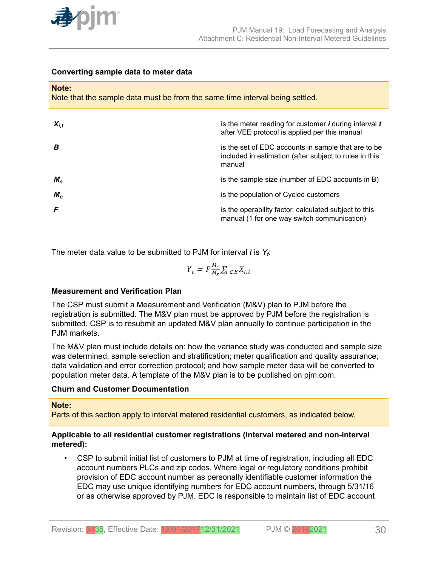

## **Converting sample data to meter data**

#### **Note:**

Note that the sample data must be from the same time interval being settled.

| $X_{i.t}$   | is the meter reading for customer $\bm{i}$ during interval $\bm{t}$<br>after VEE protocol is applied per this manual    |
|-------------|-------------------------------------------------------------------------------------------------------------------------|
| B           | is the set of EDC accounts in sample that are to be<br>included in estimation (after subject to rules in this<br>manual |
| $M_{\rm s}$ | is the sample size (number of EDC accounts in B)                                                                        |
| $M_c$       | is the population of Cycled customers                                                                                   |
| F           | is the operability factor, calculated subject to this<br>manual (1 for one way switch communication)                    |

The meter data value to be submitted to PJM for interval *t* is *Y<sup>t</sup>* :

$$
Y_t = F \frac{M_c}{M_S} \sum_{i \in B} X_{i,t}
$$

## **Measurement and Verification Plan**

The CSP must submit a Measurement and Verification (M&V) plan to PJM before the registration is submitted. The M&V plan must be approved by PJM before the registration is submitted. CSP is to resubmit an updated M&V plan annually to continue participation in the PJM markets.

The M&V plan must include details on: how the variance study was conducted and sample size was determined; sample selection and stratification; meter qualification and quality assurance; data validation and error correction protocol; and how sample meter data will be converted to population meter data. A template of the M&V plan is to be published on pjm.com.

## **Churn and Customer Documentation**

### **Note:**

Parts of this section apply to interval metered residential customers, as indicated below.

## **Applicable to all residential customer registrations (interval metered and non-interval metered):**

• CSP to submit initial list of customers to PJM at time of registration, including all EDC account numbers PLCs and zip codes. Where legal or regulatory conditions prohibit provision of EDC account number as personally identifiable customer information the EDC may use unique identifying numbers for EDC account numbers, through 5/31/16 or as otherwise approved by PJM. EDC is responsible to maintain list of EDC account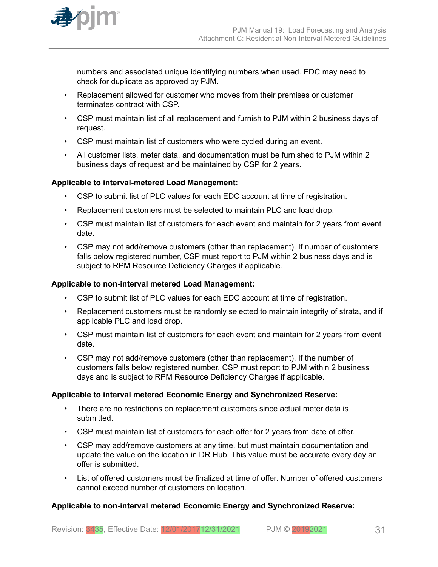

numbers and associated unique identifying numbers when used. EDC may need to check for duplicate as approved by PJM.

- Replacement allowed for customer who moves from their premises or customer terminates contract with CSP.
- CSP must maintain list of all replacement and furnish to PJM within 2 business days of request.
- CSP must maintain list of customers who were cycled during an event.
- All customer lists, meter data, and documentation must be furnished to PJM within 2 business days of request and be maintained by CSP for 2 years.

## **Applicable to interval-metered Load Management:**

- CSP to submit list of PLC values for each EDC account at time of registration.
- Replacement customers must be selected to maintain PLC and load drop.
- CSP must maintain list of customers for each event and maintain for 2 years from event date.
- CSP may not add/remove customers (other than replacement). If number of customers falls below registered number, CSP must report to PJM within 2 business days and is subject to RPM Resource Deficiency Charges if applicable.

## **Applicable to non-interval metered Load Management:**

- CSP to submit list of PLC values for each EDC account at time of registration.
- Replacement customers must be randomly selected to maintain integrity of strata, and if applicable PLC and load drop.
- CSP must maintain list of customers for each event and maintain for 2 years from event date.
- CSP may not add/remove customers (other than replacement). If the number of customers falls below registered number, CSP must report to PJM within 2 business days and is subject to RPM Resource Deficiency Charges if applicable.

## **Applicable to interval metered Economic Energy and Synchronized Reserve:**

- There are no restrictions on replacement customers since actual meter data is submitted.
- CSP must maintain list of customers for each offer for 2 years from date of offer.
- CSP may add/remove customers at any time, but must maintain documentation and update the value on the location in DR Hub. This value must be accurate every day an offer is submitted.
- List of offered customers must be finalized at time of offer. Number of offered customers cannot exceed number of customers on location.

## **Applicable to non-interval metered Economic Energy and Synchronized Reserve:**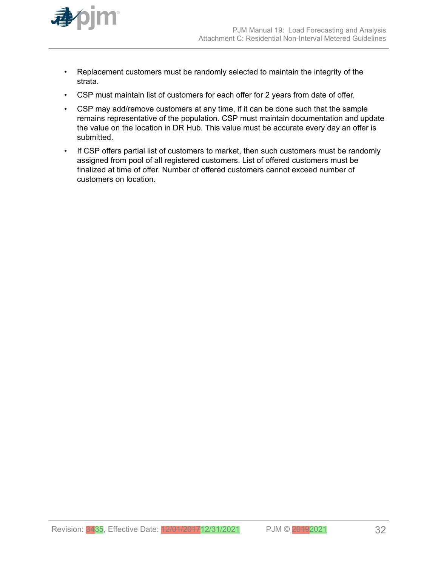

- Replacement customers must be randomly selected to maintain the integrity of the strata.
- CSP must maintain list of customers for each offer for 2 years from date of offer.
- CSP may add/remove customers at any time, if it can be done such that the sample remains representative of the population. CSP must maintain documentation and update the value on the location in DR Hub. This value must be accurate every day an offer is submitted.
- If CSP offers partial list of customers to market, then such customers must be randomly assigned from pool of all registered customers. List of offered customers must be finalized at time of offer. Number of offered customers cannot exceed number of customers on location.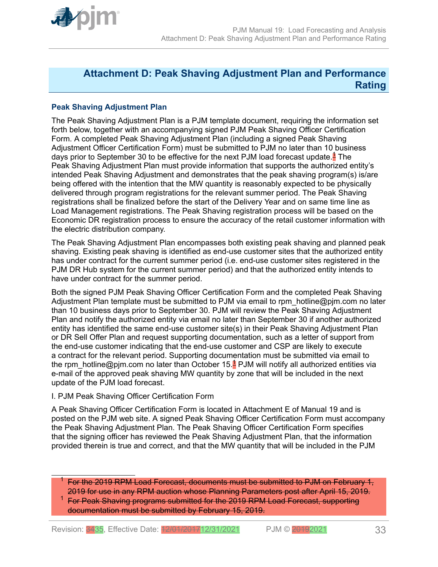<span id="page-32-0"></span>

## **Attachment D: Peak Shaving Adjustment Plan and Performance Rating**

## **Peak Shaving Adjustment Plan**

The Peak Shaving Adjustment Plan is a PJM template document, requiring the information set forth below, together with an accompanying signed PJM Peak Shaving Officer Certification Form. A completed Peak Shaving Adjustment Plan (including a signed Peak Shaving Adjustment Officer Certification Form) must be submitted to PJM no later than 10 business days prior to September 30 to be effective for the next PJM load forecast update.<sup>1</sup> The Peak Shaving Adjustment Plan must provide information that supports the authorized entity's intended Peak Shaving Adjustment and demonstrates that the peak shaving program(s) is/are being offered with the intention that the MW quantity is reasonably expected to be physically delivered through program registrations for the relevant summer period. The Peak Shaving registrations shall be finalized before the start of the Delivery Year and on same time line as Load Management registrations. The Peak Shaving registration process will be based on the Economic DR registration process to ensure the accuracy of the retail customer information with the electric distribution company.

The Peak Shaving Adjustment Plan encompasses both existing peak shaving and planned peak shaving. Existing peak shaving is identified as end-use customer sites that the authorized entity has under contract for the current summer period (i.e. end-use customer sites registered in the PJM DR Hub system for the current summer period) and that the authorized entity intends to have under contract for the summer period.

Both the signed PJM Peak Shaving Officer Certification Form and the completed Peak Shaving Adjustment Plan template must be submitted to PJM via email to rpm hotline@pjm.com no later than 10 business days prior to September 30. PJM will review the Peak Shaving Adjustment Plan and notify the authorized entity via email no later than September 30 if another authorized entity has identified the same end-use customer site(s) in their Peak Shaving Adjustment Plan or DR Sell Offer Plan and request supporting documentation, such as a letter of support from the end-use customer indicating that the end-use customer and CSP are likely to execute a contract for the relevant period. Supporting documentation must be submitted via email to the rpm\_hotline@pjm.com no later than October 15.<sup>1</sup> PJM will notify all authorized entities via e-mail of the approved peak shaving MW quantity by zone that will be included in the next update of the PJM load forecast.

### I. PJM Peak Shaving Officer Certification Form

A Peak Shaving Officer Certification Form is located in Attachment E of Manual 19 and is posted on the PJM web site. A signed Peak Shaving Officer Certification Form must accompany the Peak Shaving Adjustment Plan. The Peak Shaving Officer Certification Form specifies that the signing officer has reviewed the Peak Shaving Adjustment Plan, that the information provided therein is true and correct, and that the MW quantity that will be included in the PJM

For the 2019 RPM Load Forecast, documents must be submitted to PJM on February 1, 2019 for use in any RPM auction whose Planning Parameters post after April 15, 2019.

<sup>1</sup> For Peak Shaving programs submitted for the 2019 RPM Load Forecast, supporting documentation must be submitted by February 15, 2019.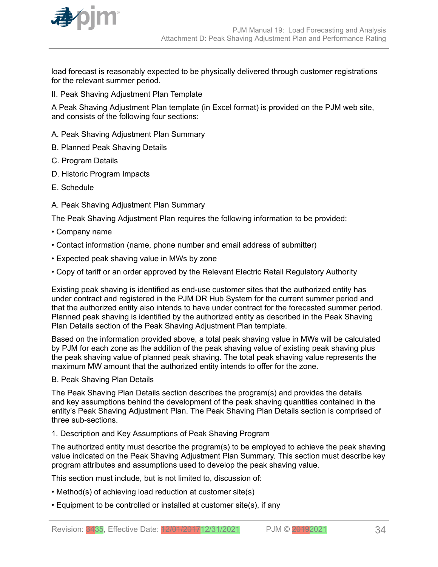

load forecast is reasonably expected to be physically delivered through customer registrations for the relevant summer period.

II. Peak Shaving Adjustment Plan Template

A Peak Shaving Adjustment Plan template (in Excel format) is provided on the PJM web site, and consists of the following four sections:

- A. Peak Shaving Adjustment Plan Summary
- B. Planned Peak Shaving Details
- C. Program Details
- D. Historic Program Impacts
- E. Schedule
- A. Peak Shaving Adjustment Plan Summary

The Peak Shaving Adjustment Plan requires the following information to be provided:

- Company name
- Contact information (name, phone number and email address of submitter)
- Expected peak shaving value in MWs by zone
- Copy of tariff or an order approved by the Relevant Electric Retail Regulatory Authority

Existing peak shaving is identified as end-use customer sites that the authorized entity has under contract and registered in the PJM DR Hub System for the current summer period and that the authorized entity also intends to have under contract for the forecasted summer period. Planned peak shaving is identified by the authorized entity as described in the Peak Shaving Plan Details section of the Peak Shaving Adjustment Plan template.

Based on the information provided above, a total peak shaving value in MWs will be calculated by PJM for each zone as the addition of the peak shaving value of existing peak shaving plus the peak shaving value of planned peak shaving. The total peak shaving value represents the maximum MW amount that the authorized entity intends to offer for the zone.

### B. Peak Shaving Plan Details

The Peak Shaving Plan Details section describes the program(s) and provides the details and key assumptions behind the development of the peak shaving quantities contained in the entity's Peak Shaving Adjustment Plan. The Peak Shaving Plan Details section is comprised of three sub-sections.

1. Description and Key Assumptions of Peak Shaving Program

The authorized entity must describe the program(s) to be employed to achieve the peak shaving value indicated on the Peak Shaving Adjustment Plan Summary. This section must describe key program attributes and assumptions used to develop the peak shaving value.

This section must include, but is not limited to, discussion of:

- Method(s) of achieving load reduction at customer site(s)
- Equipment to be controlled or installed at customer site(s), if any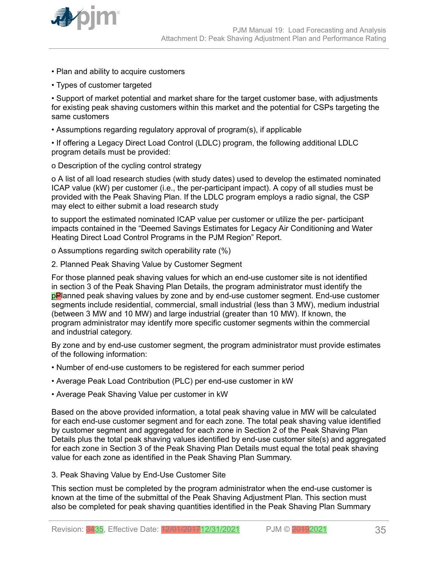

- Plan and ability to acquire customers
- Types of customer targeted

• Support of market potential and market share for the target customer base, with adjustments for existing peak shaving customers within this market and the potential for CSPs targeting the same customers

• Assumptions regarding regulatory approval of program(s), if applicable

• If offering a Legacy Direct Load Control (LDLC) program, the following additional LDLC program details must be provided:

o Description of the cycling control strategy

o A list of all load research studies (with study dates) used to develop the estimated nominated ICAP value (kW) per customer (i.e., the per-participant impact). A copy of all studies must be provided with the Peak Shaving Plan. If the LDLC program employs a radio signal, the CSP may elect to either submit a load research study

to support the estimated nominated ICAP value per customer or utilize the per- participant impacts contained in the "Deemed Savings Estimates for Legacy Air Conditioning and Water Heating Direct Load Control Programs in the PJM Region" Report.

o Assumptions regarding switch operability rate (%)

2. Planned Peak Shaving Value by Customer Segment

For those planned peak shaving values for which an end-use customer site is not identified in section 3 of the Peak Shaving Plan Details, the program administrator must identify the pPlanned peak shaving values by zone and by end-use customer segment. End-use customer segments include residential, commercial, small industrial (less than 3 MW), medium industrial (between 3 MW and 10 MW) and large industrial (greater than 10 MW). If known, the program administrator may identify more specific customer segments within the commercial and industrial category.

By zone and by end-use customer segment, the program administrator must provide estimates of the following information:

- Number of end-use customers to be registered for each summer period
- Average Peak Load Contribution (PLC) per end-use customer in kW
- Average Peak Shaving Value per customer in kW

Based on the above provided information, a total peak shaving value in MW will be calculated for each end-use customer segment and for each zone. The total peak shaving value identified by customer segment and aggregated for each zone in Section 2 of the Peak Shaving Plan Details plus the total peak shaving values identified by end-use customer site(s) and aggregated for each zone in Section 3 of the Peak Shaving Plan Details must equal the total peak shaving value for each zone as identified in the Peak Shaving Plan Summary.

## 3. Peak Shaving Value by End-Use Customer Site

This section must be completed by the program administrator when the end-use customer is known at the time of the submittal of the Peak Shaving Adjustment Plan. This section must also be completed for peak shaving quantities identified in the Peak Shaving Plan Summary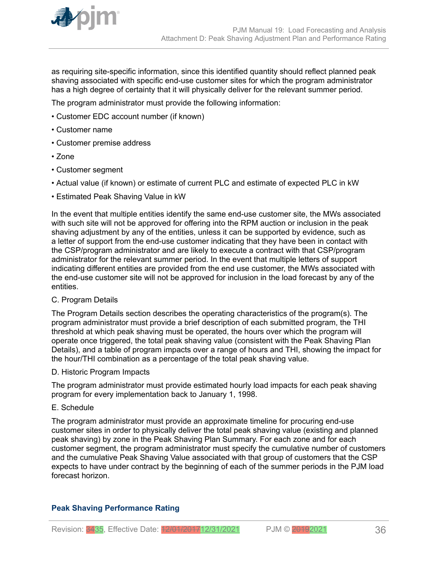

as requiring site-specific information, since this identified quantity should reflect planned peak shaving associated with specific end-use customer sites for which the program administrator has a high degree of certainty that it will physically deliver for the relevant summer period.

The program administrator must provide the following information:

- Customer EDC account number (if known)
- Customer name
- Customer premise address
- Zone
- Customer segment
- Actual value (if known) or estimate of current PLC and estimate of expected PLC in kW
- Estimated Peak Shaving Value in kW

In the event that multiple entities identify the same end-use customer site, the MWs associated with such site will not be approved for offering into the RPM auction or inclusion in the peak shaving adjustment by any of the entities, unless it can be supported by evidence, such as a letter of support from the end-use customer indicating that they have been in contact with the CSP/program administrator and are likely to execute a contract with that CSP/program administrator for the relevant summer period. In the event that multiple letters of support indicating different entities are provided from the end use customer, the MWs associated with the end-use customer site will not be approved for inclusion in the load forecast by any of the entities.

### C. Program Details

The Program Details section describes the operating characteristics of the program(s). The program administrator must provide a brief description of each submitted program, the THI threshold at which peak shaving must be operated, the hours over which the program will operate once triggered, the total peak shaving value (consistent with the Peak Shaving Plan Details), and a table of program impacts over a range of hours and THI, showing the impact for the hour/THI combination as a percentage of the total peak shaving value.

### D. Historic Program Impacts

The program administrator must provide estimated hourly load impacts for each peak shaving program for every implementation back to January 1, 1998.

### E. Schedule

The program administrator must provide an approximate timeline for procuring end-use customer sites in order to physically deliver the total peak shaving value (existing and planned peak shaving) by zone in the Peak Shaving Plan Summary. For each zone and for each customer segment, the program administrator must specify the cumulative number of customers and the cumulative Peak Shaving Value associated with that group of customers that the CSP expects to have under contract by the beginning of each of the summer periods in the PJM load forecast horizon.

## **Peak Shaving Performance Rating**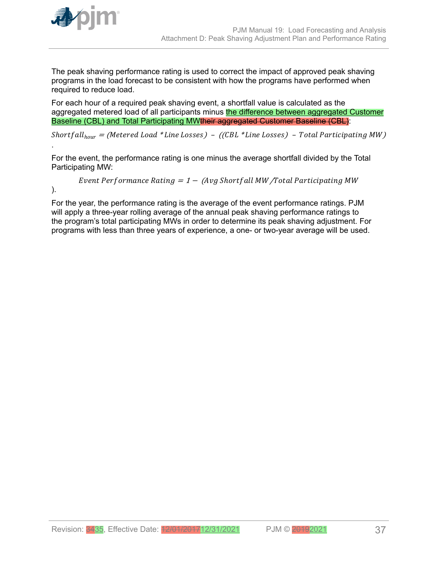

The peak shaving performance rating is used to correct the impact of approved peak shaving programs in the load forecast to be consistent with how the programs have performed when required to reduce load.

For each hour of a required peak shaving event, a shortfall value is calculated as the aggregated metered load of all participants minus the difference between aggregated Customer Baseline (CBL) and Total Participating MWtheir aggregated Customer Baseline (CBL):

Shortfall<sub>hour</sub> = (Metered Load \*Line Losses) - ((CBL \*Line Losses) - Total Participating MW)

For the event, the performance rating is one minus the average shortfall divided by the Total Participating MW:

*Event Performance* 
$$
Rating = 1 - (Avg Shortfall MW/Total Participants MW
$$

).

.

For the year, the performance rating is the average of the event performance ratings. PJM will apply a three-year rolling average of the annual peak shaving performance ratings to the program's total participating MWs in order to determine its peak shaving adjustment. For programs with less than three years of experience, a one- or two-year average will be used.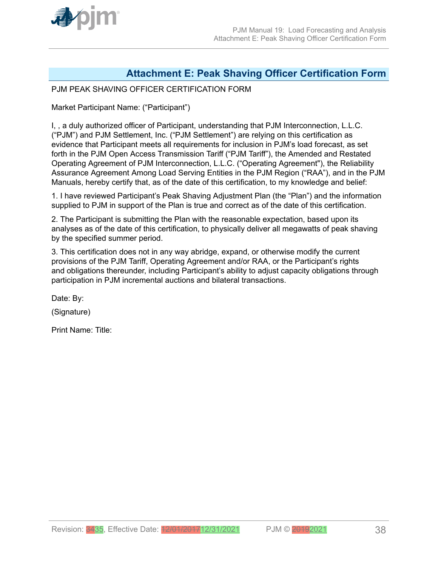<span id="page-37-0"></span>

## **Attachment E: Peak Shaving Officer Certification Form**

## PJM PEAK SHAVING OFFICER CERTIFICATION FORM

Market Participant Name: ("Participant")

I, , a duly authorized officer of Participant, understanding that PJM Interconnection, L.L.C. ("PJM") and PJM Settlement, Inc. ("PJM Settlement") are relying on this certification as evidence that Participant meets all requirements for inclusion in PJM's load forecast, as set forth in the PJM Open Access Transmission Tariff ("PJM Tariff"), the Amended and Restated Operating Agreement of PJM Interconnection, L.L.C. ("Operating Agreement"), the Reliability Assurance Agreement Among Load Serving Entities in the PJM Region ("RAA"), and in the PJM Manuals, hereby certify that, as of the date of this certification, to my knowledge and belief:

1. I have reviewed Participant's Peak Shaving Adjustment Plan (the "Plan") and the information supplied to PJM in support of the Plan is true and correct as of the date of this certification.

2. The Participant is submitting the Plan with the reasonable expectation, based upon its analyses as of the date of this certification, to physically deliver all megawatts of peak shaving by the specified summer period.

3. This certification does not in any way abridge, expand, or otherwise modify the current provisions of the PJM Tariff, Operating Agreement and/or RAA, or the Participant's rights and obligations thereunder, including Participant's ability to adjust capacity obligations through participation in PJM incremental auctions and bilateral transactions.

Date: By:

(Signature)

Print Name: Title: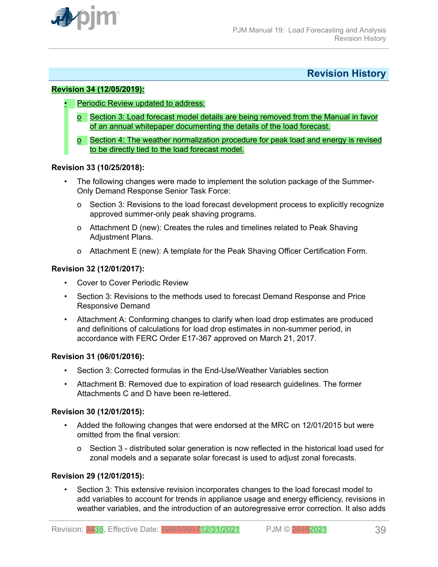<span id="page-38-0"></span>

## **Revision History**

## **Revision 34 (12/05/2019):**

- Periodic Review updated to address:
	- o Section 3: Load forecast model details are being removed from the Manual in favor of an annual whitepaper documenting the details of the load forecast.
	- o Section 4: The weather normalization procedure for peak load and energy is revised to be directly tied to the load forecast model.

### **Revision 33 (10/25/2018):**

- The following changes were made to implement the solution package of the Summer-Only Demand Response Senior Task Force:
	- o Section 3: Revisions to the load forecast development process to explicitly recognize approved summer-only peak shaving programs.
	- o Attachment D (new): Creates the rules and timelines related to Peak Shaving Adjustment Plans.
	- o Attachment E (new): A template for the Peak Shaving Officer Certification Form.

## **Revision 32 (12/01/2017):**

- Cover to Cover Periodic Review
- Section 3: Revisions to the methods used to forecast Demand Response and Price Responsive Demand
- Attachment A: Conforming changes to clarify when load drop estimates are produced and definitions of calculations for load drop estimates in non-summer period, in accordance with FERC Order E17-367 approved on March 21, 2017.

### **Revision 31 (06/01/2016):**

- Section 3: Corrected formulas in the End-Use/Weather Variables section
- Attachment B: Removed due to expiration of load research guidelines. The former Attachments C and D have been re-lettered.

### **Revision 30 (12/01/2015):**

- Added the following changes that were endorsed at the MRC on 12/01/2015 but were omitted from the final version:
	- o Section 3 distributed solar generation is now reflected in the historical load used for zonal models and a separate solar forecast is used to adjust zonal forecasts.

## **Revision 29 (12/01/2015):**

• Section 3: This extensive revision incorporates changes to the load forecast model to add variables to account for trends in appliance usage and energy efficiency, revisions in weather variables, and the introduction of an autoregressive error correction. It also adds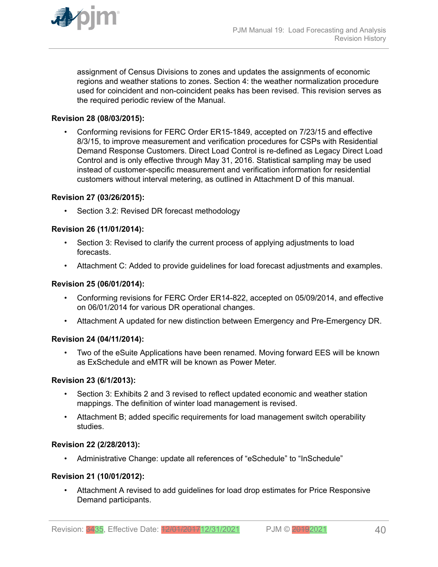

assignment of Census Divisions to zones and updates the assignments of economic regions and weather stations to zones. Section 4: the weather normalization procedure used for coincident and non-coincident peaks has been revised. This revision serves as the required periodic review of the Manual.

## **Revision 28 (08/03/2015):**

• Conforming revisions for FERC Order ER15-1849, accepted on 7/23/15 and effective 8/3/15, to improve measurement and verification procedures for CSPs with Residential Demand Response Customers. Direct Load Control is re-defined as Legacy Direct Load Control and is only effective through May 31, 2016. Statistical sampling may be used instead of customer-specific measurement and verification information for residential customers without interval metering, as outlined in Attachment D of this manual.

## **Revision 27 (03/26/2015):**

• Section 3.2: Revised DR forecast methodology

## **Revision 26 (11/01/2014):**

- Section 3: Revised to clarify the current process of applying adjustments to load forecasts.
- Attachment C: Added to provide guidelines for load forecast adjustments and examples.

### **Revision 25 (06/01/2014):**

- Conforming revisions for FERC Order ER14-822, accepted on 05/09/2014, and effective on 06/01/2014 for various DR operational changes.
- Attachment A updated for new distinction between Emergency and Pre-Emergency DR.

### **Revision 24 (04/11/2014):**

• Two of the eSuite Applications have been renamed. Moving forward EES will be known as ExSchedule and eMTR will be known as Power Meter.

### **Revision 23 (6/1/2013):**

- Section 3: Exhibits 2 and 3 revised to reflect updated economic and weather station mappings. The definition of winter load management is revised.
- Attachment B; added specific requirements for load management switch operability studies.

### **Revision 22 (2/28/2013):**

• Administrative Change: update all references of "eSchedule" to "InSchedule"

### **Revision 21 (10/01/2012):**

• Attachment A revised to add guidelines for load drop estimates for Price Responsive Demand participants.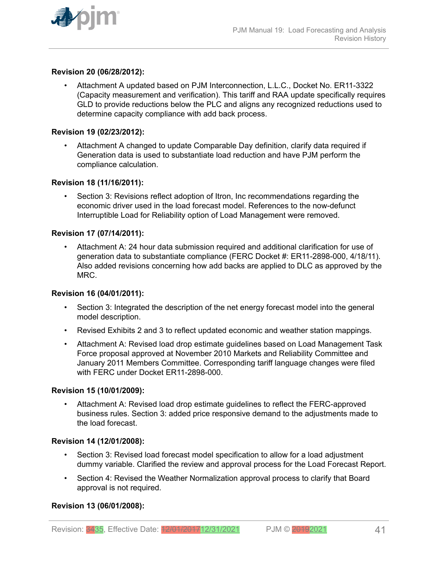

## **Revision 20 (06/28/2012):**

• Attachment A updated based on PJM Interconnection, L.L.C., Docket No. ER11-3322 (Capacity measurement and verification). This tariff and RAA update specifically requires GLD to provide reductions below the PLC and aligns any recognized reductions used to determine capacity compliance with add back process.

### **Revision 19 (02/23/2012):**

• Attachment A changed to update Comparable Day definition, clarify data required if Generation data is used to substantiate load reduction and have PJM perform the compliance calculation.

## **Revision 18 (11/16/2011):**

• Section 3: Revisions reflect adoption of Itron, Inc recommendations regarding the economic driver used in the load forecast model. References to the now-defunct Interruptible Load for Reliability option of Load Management were removed.

## **Revision 17 (07/14/2011):**

• Attachment A: 24 hour data submission required and additional clarification for use of generation data to substantiate compliance (FERC Docket #: ER11-2898-000, 4/18/11). Also added revisions concerning how add backs are applied to DLC as approved by the MRC.

### **Revision 16 (04/01/2011):**

- Section 3: Integrated the description of the net energy forecast model into the general model description.
- Revised Exhibits 2 and 3 to reflect updated economic and weather station mappings.
- Attachment A: Revised load drop estimate guidelines based on Load Management Task Force proposal approved at November 2010 Markets and Reliability Committee and January 2011 Members Committee. Corresponding tariff language changes were filed with FERC under Docket ER11-2898-000.

### **Revision 15 (10/01/2009):**

• Attachment A: Revised load drop estimate guidelines to reflect the FERC-approved business rules. Section 3: added price responsive demand to the adjustments made to the load forecast.

### **Revision 14 (12/01/2008):**

- Section 3: Revised load forecast model specification to allow for a load adjustment dummy variable. Clarified the review and approval process for the Load Forecast Report.
- Section 4: Revised the Weather Normalization approval process to clarify that Board approval is not required.

### **Revision 13 (06/01/2008):**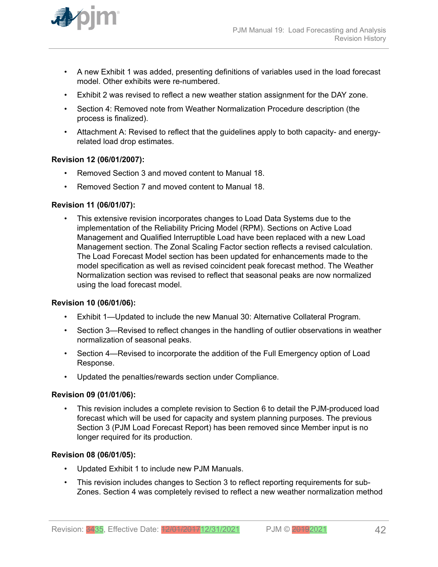

- A new Exhibit 1 was added, presenting definitions of variables used in the load forecast model. Other exhibits were re-numbered.
- Exhibit 2 was revised to reflect a new weather station assignment for the DAY zone.
- Section 4: Removed note from Weather Normalization Procedure description (the process is finalized).
- Attachment A: Revised to reflect that the guidelines apply to both capacity- and energyrelated load drop estimates.

## **Revision 12 (06/01/2007):**

- Removed Section 3 and moved content to Manual 18.
- Removed Section 7 and moved content to Manual 18.

## **Revision 11 (06/01/07):**

• This extensive revision incorporates changes to Load Data Systems due to the implementation of the Reliability Pricing Model (RPM). Sections on Active Load Management and Qualified Interruptible Load have been replaced with a new Load Management section. The Zonal Scaling Factor section reflects a revised calculation. The Load Forecast Model section has been updated for enhancements made to the model specification as well as revised coincident peak forecast method. The Weather Normalization section was revised to reflect that seasonal peaks are now normalized using the load forecast model.

### **Revision 10 (06/01/06):**

- Exhibit 1—Updated to include the new Manual 30: Alternative Collateral Program.
- Section 3—Revised to reflect changes in the handling of outlier observations in weather normalization of seasonal peaks.
- Section 4—Revised to incorporate the addition of the Full Emergency option of Load Response.
- Updated the penalties/rewards section under Compliance.

### **Revision 09 (01/01/06):**

• This revision includes a complete revision to Section 6 to detail the PJM-produced load forecast which will be used for capacity and system planning purposes. The previous Section 3 (PJM Load Forecast Report) has been removed since Member input is no longer required for its production.

### **Revision 08 (06/01/05):**

- Updated Exhibit 1 to include new PJM Manuals.
- This revision includes changes to Section 3 to reflect reporting requirements for sub-Zones. Section 4 was completely revised to reflect a new weather normalization method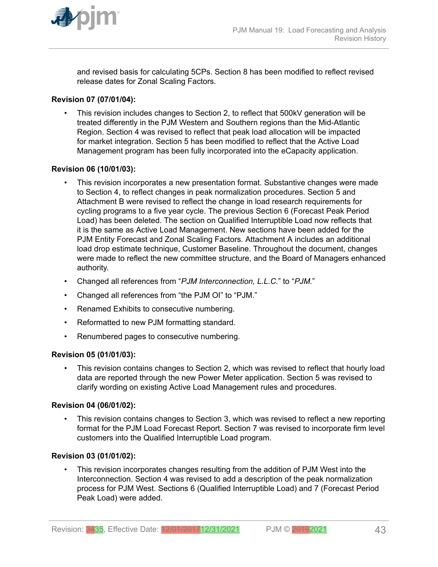

and revised basis for calculating 5CPs. Section 8 has been modified to reflect revised release dates for Zonal Scaling Factors.

## **Revision 07 (07/01/04):**

• This revision includes changes to Section 2, to reflect that 500kV generation will be treated differently in the PJM Western and Southern regions than the Mid-Atlantic Region. Section 4 was revised to reflect that peak load allocation will be impacted for market integration. Section 5 has been modified to reflect that the Active Load Management program has been fully incorporated into the eCapacity application.

## **Revision 06 (10/01/03):**

- This revision incorporates a new presentation format. Substantive changes were made to Section 4, to reflect changes in peak normalization procedures. Section 5 and Attachment B were revised to reflect the change in load research requirements for cycling programs to a five year cycle. The previous Section 6 (Forecast Peak Period Load) has been deleted. The section on Qualified Interruptible Load now reflects that it is the same as Active Load Management. New sections have been added for the PJM Entity Forecast and Zonal Scaling Factors. Attachment A includes an additional load drop estimate technique, Customer Baseline. Throughout the document, changes were made to reflect the new committee structure, and the Board of Managers enhanced authority.
- Changed all references from "*PJM Interconnection, L.L.C.*" to "*PJM.*"
- Changed all references from "the PJM OI" to "PJM."
- Renamed Exhibits to consecutive numbering.
- Reformatted to new PJM formatting standard.
- Renumbered pages to consecutive numbering.

### **Revision 05 (01/01/03):**

• This revision contains changes to Section 2, which was revised to reflect that hourly load data are reported through the new Power Meter application. Section 5 was revised to clarify wording on existing Active Load Management rules and procedures.

## **Revision 04 (06/01/02):**

• This revision contains changes to Section 3, which was revised to reflect a new reporting format for the PJM Load Forecast Report. Section 7 was revised to incorporate firm level customers into the Qualified Interruptible Load program.

### **Revision 03 (01/01/02):**

• This revision incorporates changes resulting from the addition of PJM West into the Interconnection. Section 4 was revised to add a description of the peak normalization process for PJM West. Sections 6 (Qualified Interruptible Load) and 7 (Forecast Period Peak Load) were added.